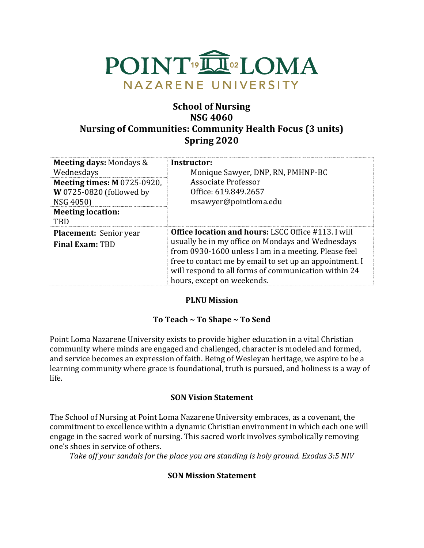

# **School of Nursing NSG 4060 Nursing of Communities: Community Health Focus (3 units) Spring 2020**

| <b>Meeting days: Mondays &amp;</b><br>Wednesdays<br><b>Meeting times: M 0725-0920,</b><br>W 0725-0820 (followed by<br>NSG 4050)<br><b>Meeting location:</b><br><b>TBD</b> | Instructor:<br>Monique Sawyer, DNP, RN, PMHNP-BC<br>Associate Professor<br>Office: 619.849.2657<br>msawyer@pointloma.edu                                                                                                                                                                                                 |
|---------------------------------------------------------------------------------------------------------------------------------------------------------------------------|--------------------------------------------------------------------------------------------------------------------------------------------------------------------------------------------------------------------------------------------------------------------------------------------------------------------------|
| <b>Placement:</b> Senior year<br><b>Final Exam: TBD</b>                                                                                                                   | <b>Office location and hours: LSCC Office #113. I will</b><br>usually be in my office on Mondays and Wednesdays<br>from 0930-1600 unless I am in a meeting. Please feel<br>free to contact me by email to set up an appointment. I<br>will respond to all forms of communication within 24<br>hours, except on weekends. |

# **PLNU Mission**

# To Teach ~ To Shape ~ To Send

Point Loma Nazarene University exists to provide higher education in a vital Christian community where minds are engaged and challenged, character is modeled and formed, and service becomes an expression of faith. Being of Wesleyan heritage, we aspire to be a learning community where grace is foundational, truth is pursued, and holiness is a way of life.

#### **SON Vision Statement**

The School of Nursing at Point Loma Nazarene University embraces, as a covenant, the commitment to excellence within a dynamic Christian environment in which each one will engage in the sacred work of nursing. This sacred work involves symbolically removing one's shoes in service of others.

Take off your sandals for the place you are standing is holy ground. Exodus 3:5 NIV

# **SON Mission Statement**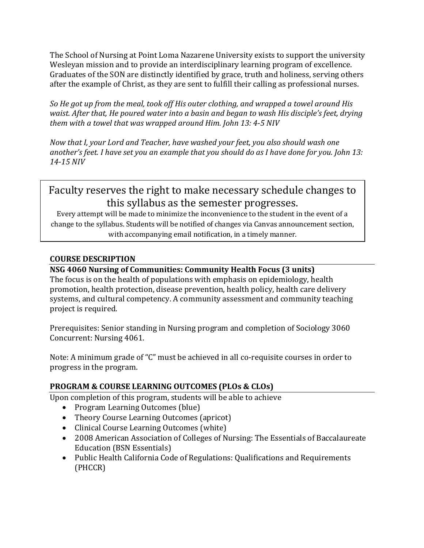The School of Nursing at Point Loma Nazarene University exists to support the university Wesleyan mission and to provide an interdisciplinary learning program of excellence. Graduates of the SON are distinctly identified by grace, truth and holiness, serving others after the example of Christ, as they are sent to fulfill their calling as professional nurses.

*So He got up from the meal, took off His outer clothing, and wrapped a towel around His waist. After that, He poured water into a basin and began to wash His disciple's feet, drying* them with a towel that was wrapped around *Him.* John 13: 4-5 NIV

*Now that I, your Lord and Teacher, have washed your feet, you also should wash one* another's feet. I have set you an example that you should do as I have done for you. John 13: *14-15 NIV* 

# Faculty reserves the right to make necessary schedule changes to this syllabus as the semester progresses.

Every attempt will be made to minimize the inconvenience to the student in the event of a change to the syllabus. Students will be notified of changes via Canvas announcement section, with accompanying email notification, in a timely manner.

# **COURSE DESCRIPTION**

# **NSG 4060 Nursing of Communities: Community Health Focus (3 units)**

The focus is on the health of populations with emphasis on epidemiology, health promotion, health protection, disease prevention, health policy, health care delivery systems, and cultural competency. A community assessment and community teaching project is required.

Prerequisites: Senior standing in Nursing program and completion of Sociology 3060 Concurrent: Nursing 4061.

Note: A minimum grade of "C" must be achieved in all co-requisite courses in order to progress in the program.

# **PROGRAM & COURSE LEARNING OUTCOMES (PLOs & CLOs)**

Upon completion of this program, students will be able to achieve

- Program Learning Outcomes (blue)
- Theory Course Learning Outcomes (apricot)
- Clinical Course Learning Outcomes (white)
- 2008 American Association of Colleges of Nursing: The Essentials of Baccalaureate Education (BSN Essentials)
- Public Health California Code of Regulations: Qualifications and Requirements (PHCCR)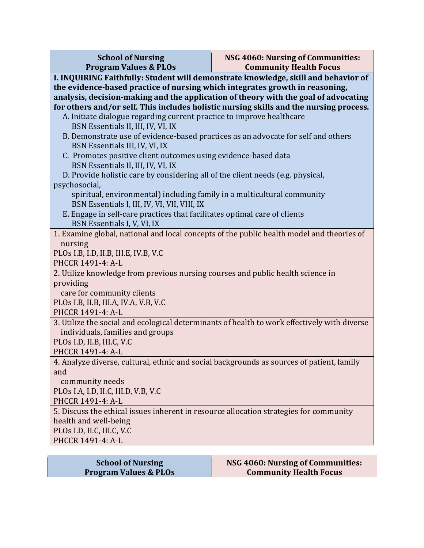| <b>School of Nursing</b><br><b>Program Values &amp; PLOs</b>                                         | NSG 4060: Nursing of Communities:<br><b>Community Health Focus</b>                     |  |  |  |
|------------------------------------------------------------------------------------------------------|----------------------------------------------------------------------------------------|--|--|--|
| I. INQUIRING Faithfully: Student will demonstrate knowledge, skill and behavior of                   |                                                                                        |  |  |  |
| the evidence-based practice of nursing which integrates growth in reasoning,                         |                                                                                        |  |  |  |
| analysis, decision-making and the application of theory with the goal of advocating                  |                                                                                        |  |  |  |
|                                                                                                      | for others and/or self. This includes holistic nursing skills and the nursing process. |  |  |  |
| A. Initiate dialogue regarding current practice to improve healthcare                                |                                                                                        |  |  |  |
| BSN Essentials II, III, IV, VI, IX                                                                   |                                                                                        |  |  |  |
| B. Demonstrate use of evidence-based practices as an advocate for self and others                    |                                                                                        |  |  |  |
| BSN Essentials III, IV, VI, IX                                                                       |                                                                                        |  |  |  |
| C. Promotes positive client outcomes using evidence-based data<br>BSN Essentials II, III, IV, VI, IX |                                                                                        |  |  |  |
| D. Provide holistic care by considering all of the client needs (e.g. physical,                      |                                                                                        |  |  |  |
| psychosocial,                                                                                        |                                                                                        |  |  |  |
| spiritual, environmental) including family in a multicultural community                              |                                                                                        |  |  |  |
| BSN Essentials I, III, IV, VI, VII, VIII, IX                                                         |                                                                                        |  |  |  |
| E. Engage in self-care practices that facilitates optimal care of clients                            |                                                                                        |  |  |  |
| BSN Essentials I, V, VI, IX                                                                          |                                                                                        |  |  |  |
| 1. Examine global, national and local concepts of the public health model and theories of            |                                                                                        |  |  |  |
| nursing                                                                                              |                                                                                        |  |  |  |
| PLOs I.B, I.D, II.B, III.E, IV.B, V.C                                                                |                                                                                        |  |  |  |
| PHCCR 1491-4: A-L<br>2. Utilize knowledge from previous nursing courses and public health science in |                                                                                        |  |  |  |
| providing                                                                                            |                                                                                        |  |  |  |
| care for community clients                                                                           |                                                                                        |  |  |  |
| PLOs I.B, II.B, III.A, IV.A, V.B, V.C                                                                |                                                                                        |  |  |  |
| PHCCR 1491-4: A-L                                                                                    |                                                                                        |  |  |  |
| 3. Utilize the social and ecological determinants of health to work effectively with diverse         |                                                                                        |  |  |  |
| individuals, families and groups                                                                     |                                                                                        |  |  |  |
| PLOs I.D, II.B, III.C, V.C                                                                           |                                                                                        |  |  |  |
| PHCCR 1491-4: A-L                                                                                    |                                                                                        |  |  |  |
| 4. Analyze diverse, cultural, ethnic and social backgrounds as sources of patient, family            |                                                                                        |  |  |  |
| and                                                                                                  |                                                                                        |  |  |  |
| community needs                                                                                      |                                                                                        |  |  |  |
| PLOs I.A, I.D, II.C, III.D, V.B, V.C<br>PHCCR 1491-4: A-L                                            |                                                                                        |  |  |  |
| 5. Discuss the ethical issues inherent in resource allocation strategies for community               |                                                                                        |  |  |  |
| health and well-being                                                                                |                                                                                        |  |  |  |
| PLOs I.D, II.C, III.C, V.C                                                                           |                                                                                        |  |  |  |
| PHCCR 1491-4: A-L                                                                                    |                                                                                        |  |  |  |
|                                                                                                      |                                                                                        |  |  |  |

| <b>School of Nursing</b>         | NSG 4060: Nursing of Communities: |  |
|----------------------------------|-----------------------------------|--|
| <b>Program Values &amp; PLOs</b> | <b>Community Health Focus</b>     |  |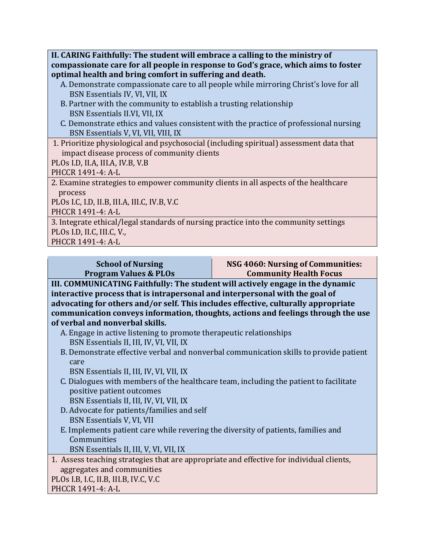**II. CARING Faithfully: The student will embrace a calling to the ministry of** compassionate care for all people in response to God's grace, which aims to foster **optimal health and bring comfort in suffering and death.** 

- A. Demonstrate compassionate care to all people while mirroring Christ's love for all BSN Essentials IV, VI, VII, IX
- B. Partner with the community to establish a trusting relationship BSN Essentials II.VI, VII, IX
- C. Demonstrate ethics and values consistent with the practice of professional nursing BSN Essentials V, VI, VII, VIII, IX
- 1. Prioritize physiological and psychosocial (including spiritual) assessment data that impact disease process of community clients

PLOs I.D, II.A, III.A, IV.B, V.B

PHCCR 1491-4: A-L

2. Examine strategies to empower community clients in all aspects of the healthcare process

PLOs I.C, I.D, II.B, III.A, III.C, IV.B, V.C

PHCCR 1491-4: A-L

3. Integrate ethical/legal standards of nursing practice into the community settings PLOs I.D, II.C, III.C, V.,

PHCCR 1491-4: A-L

| <b>School of Nursing</b>                                                                                                                                           | NSG 4060: Nursing of Communities: |  |
|--------------------------------------------------------------------------------------------------------------------------------------------------------------------|-----------------------------------|--|
| <b>Program Values &amp; PLOs</b>                                                                                                                                   | <b>Community Health Focus</b>     |  |
| III. COMMUNICATING Faithfully: The student will actively engage in the dynamic<br>tutana atina mno ocea that in intuenamental and intermeneral cuith the saal of a |                                   |  |

**interactive process that is intrapersonal and interpersonal with the goal of** advocating for others and/or self. This includes effective, culturally appropriate communication conveys information, thoughts, actions and feelings through the use **of verbal and nonverbal skills.**

- A. Engage in active listening to promote therapeutic relationships BSN Essentials II, III, IV, VI, VII, IX
- B. Demonstrate effective verbal and nonverbal communication skills to provide patient care

BSN Essentials II, III, IV, VI, VII, IX

C. Dialogues with members of the healthcare team, including the patient to facilitate positive patient outcomes

BSN Essentials II, III, IV, VI, VII, IX

- D. Advocate for patients/families and self BSN Essentials V, VI, VII
- E. Implements patient care while revering the diversity of patients, families and **Communities**

BSN Essentials II, III, V, VI, VII, IX

1. Assess teaching strategies that are appropriate and effective for individual clients, aggregates and communities

PLOs I.B, I.C, II.B, III.B, IV.C, V.C

PHCCR 1491-4: A-L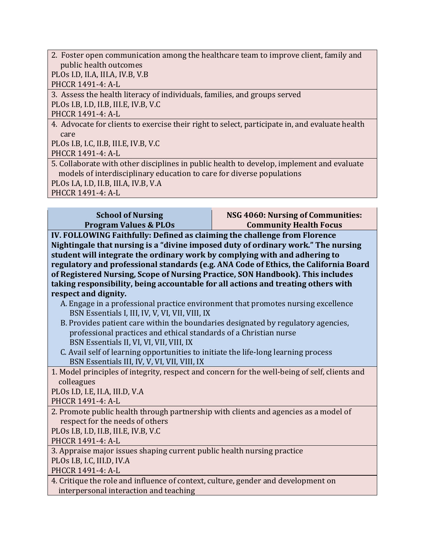2. Foster open communication among the healthcare team to improve client, family and public health outcomes PLOs I.D, II.A, III.A, IV.B, V.B

PHCCR 1491-4: A-L

3. Assess the health literacy of individuals, families, and groups served PLOs I.B, I.D, II.B, III.E, IV.B, V.C

PHCCR 1491-4: A-L

4. Advocate for clients to exercise their right to select, participate in, and evaluate health care

PLOs I.B, I.C, II.B, III.E, IV.B, V.C

PHCCR 1491-4: A-L

5. Collaborate with other disciplines in public health to develop, implement and evaluate models of interdisciplinary education to care for diverse populations

PLOs I.A, I.D, II.B, III.A, IV.B, V.A

PHCCR 1491-4: A-L

| <b>School of Nursing</b>         | NSG 4060: Nursing of Communities: |
|----------------------------------|-----------------------------------|
| <b>Program Values &amp; PLOs</b> | <b>Community Health Focus</b>     |
|                                  |                                   |

**IV. FOLLOWING Faithfully: Defined as claiming the challenge from Florence** Nightingale that nursing is a "divine imposed duty of ordinary work." The nursing **student will integrate the ordinary work by complying with and adhering to** regulatory and professional standards (e.g. ANA Code of Ethics, the California Board of Registered Nursing, Scope of Nursing Practice, SON Handbook). This includes taking responsibility, being accountable for all actions and treating others with respect and dignity.

- A. Engage in a professional practice environment that promotes nursing excellence BSN Essentials I, III, IV, V, VI, VII, VIII, IX
- B. Provides patient care within the boundaries designated by regulatory agencies, professional practices and ethical standards of a Christian nurse BSN Essentials II, VI, VI, VII, VIII, IX
- C. Avail self of learning opportunities to initiate the life-long learning process BSN Essentials III, IV, V, VI, VII, VIII, IX
- 1. Model principles of integrity, respect and concern for the well-being of self, clients and colleagues

PLOs I.D, I.E, II.A, III.D, V.A

PHCCR 1491-4: A-L

2. Promote public health through partnership with clients and agencies as a model of respect for the needs of others

PLOs I.B, I.D, II.B, III.E, IV.B, V.C

PHCCR 1491-4: A-L

3. Appraise major issues shaping current public health nursing practice

PLOs I.B, I.C, III.D, IV.A

PHCCR 1491-4: A-L

4. Critique the role and influence of context, culture, gender and development on interpersonal interaction and teaching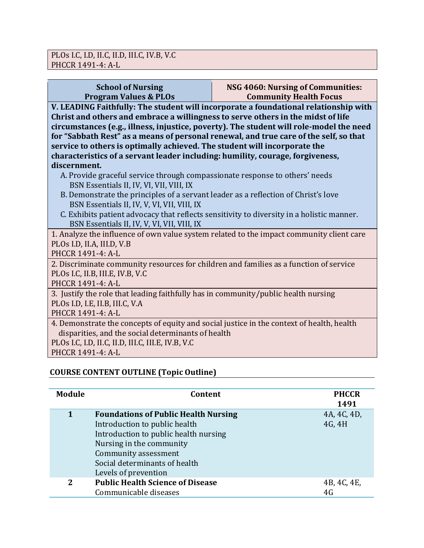| <b>School of Nursing</b><br><b>Program Values &amp; PLOs</b>                                                                                                                                                                                                                                                                                                                                                                              | NSG 4060: Nursing of Communities:<br><b>Community Health Focus</b> |  |  |
|-------------------------------------------------------------------------------------------------------------------------------------------------------------------------------------------------------------------------------------------------------------------------------------------------------------------------------------------------------------------------------------------------------------------------------------------|--------------------------------------------------------------------|--|--|
| V. LEADING Faithfully: The student will incorporate a foundational relationship with<br>Christ and others and embrace a willingness to serve others in the midst of life<br>circumstances (e.g., illness, injustice, poverty). The student will role-model the need<br>for "Sabbath Rest" as a means of personal renewal, and true care of the self, so that<br>service to others is optimally achieved. The student will incorporate the |                                                                    |  |  |
| characteristics of a servant leader including: humility, courage, forgiveness,                                                                                                                                                                                                                                                                                                                                                            |                                                                    |  |  |
| discernment.<br>A. Provide graceful service through compassionate response to others' needs<br>BSN Essentials II, IV, VI, VII, VIII, IX                                                                                                                                                                                                                                                                                                   |                                                                    |  |  |
| B. Demonstrate the principles of a servant leader as a reflection of Christ's love<br>BSN Essentials II, IV, V, VI, VII, VIII, IX                                                                                                                                                                                                                                                                                                         |                                                                    |  |  |
| C. Exhibits patient advocacy that reflects sensitivity to diversity in a holistic manner.<br>BSN Essentials II, IV, V, VI, VII, VIII, IX                                                                                                                                                                                                                                                                                                  |                                                                    |  |  |
| 1. Analyze the influence of own value system related to the impact community client care<br>PLOs I.D, II.A, III.D, V.B<br>PHCCR 1491-4: A-L                                                                                                                                                                                                                                                                                               |                                                                    |  |  |
| 2. Discriminate community resources for children and families as a function of service<br>PLOs I.C, II.B, III.E, IV.B, V.C<br>PHCCR 1491-4: A-L                                                                                                                                                                                                                                                                                           |                                                                    |  |  |
| 3. Justify the role that leading faithfully has in community/public health nursing<br>PLOs I.D, I.E, II.B, III.C, V.A<br>PHCCR 1491-4: A-L                                                                                                                                                                                                                                                                                                |                                                                    |  |  |
| 4. Demonstrate the concepts of equity and social justice in the context of health, health<br>disparities, and the social determinants of health<br>PLOs I.C, I.D, II.C, II.D, III.C, III.E, IV.B, V.C<br>PHCCR 1491-4: A-L                                                                                                                                                                                                                |                                                                    |  |  |
|                                                                                                                                                                                                                                                                                                                                                                                                                                           |                                                                    |  |  |

# **COURSE CONTENT OUTLINE (Topic Outline)**

| Module       | Content                                                                                                                                                                                                                            | <b>PHCCR</b><br>1491  |
|--------------|------------------------------------------------------------------------------------------------------------------------------------------------------------------------------------------------------------------------------------|-----------------------|
| 1            | <b>Foundations of Public Health Nursing</b><br>Introduction to public health<br>Introduction to public health nursing<br>Nursing in the community<br>Community assessment<br>Social determinants of health<br>Levels of prevention | 4A, 4C, 4D,<br>4G, 4H |
| $\mathbf{2}$ | <b>Public Health Science of Disease</b><br>Communicable diseases                                                                                                                                                                   | 4B, 4C, 4E,<br>4G     |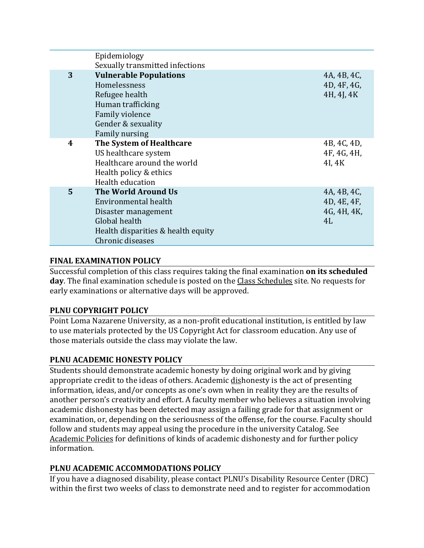|   | Epidemiology                                                                                                                                           |                                                 |
|---|--------------------------------------------------------------------------------------------------------------------------------------------------------|-------------------------------------------------|
|   | Sexually transmitted infections                                                                                                                        |                                                 |
| 3 | <b>Vulnerable Populations</b><br>Homelessness<br>Refugee health<br>Human trafficking<br>Family violence<br>Gender & sexuality<br><b>Family nursing</b> | 4A, 4B, 4C,<br>4D, 4F, 4G,<br>4H, 4J, 4K        |
| 4 | The System of Healthcare<br>US healthcare system<br>Healthcare around the world<br>Health policy & ethics<br>Health education                          | 4B, 4C, 4D,<br>4F, 4G, 4H,<br>4I, 4K            |
| 5 | The World Around Us<br>Environmental health<br>Disaster management<br>Global health<br>Health disparities & health equity<br>Chronic diseases          | 4A, 4B, 4C,<br>4D, 4E, 4F,<br>4G, 4H, 4K,<br>4L |

#### **FINAL EXAMINATION POLICY**

Successful completion of this class requires taking the final examination **on its scheduled** day. The final examination schedule is posted on the **Class Schedules** site. No requests for early examinations or alternative days will be approved.

#### **PLNU COPYRIGHT POLICY**

Point Loma Nazarene University, as a non-profit educational institution, is entitled by law to use materials protected by the US Copyright Act for classroom education. Any use of those materials outside the class may violate the law.

# **PLNU ACADEMIC HONESTY POLICY**

Students should demonstrate academic honesty by doing original work and by giving appropriate credit to the ideas of others. Academic dishonesty is the act of presenting information, ideas, and/or concepts as one's own when in reality they are the results of another person's creativity and effort. A faculty member who believes a situation involving academic dishonesty has been detected may assign a failing grade for that assignment or examination, or, depending on the seriousness of the offense, for the course. Faculty should follow and students may appeal using the procedure in the university Catalog. See Academic Policies for definitions of kinds of academic dishonesty and for further policy information.

# **PLNU ACADEMIC ACCOMMODATIONS POLICY**

If you have a diagnosed disability, please contact PLNU's Disability Resource Center (DRC) within the first two weeks of class to demonstrate need and to register for accommodation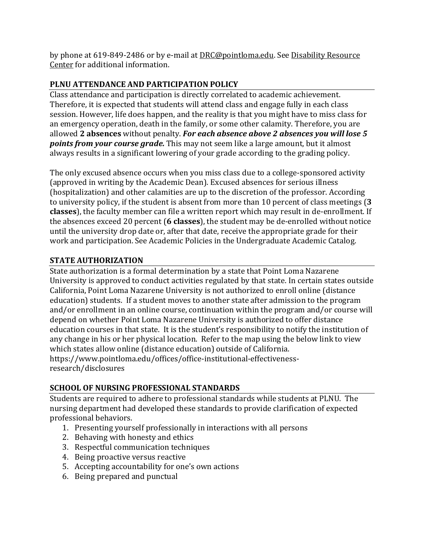by phone at 619-849-2486 or by e-mail at DRC@pointloma.edu. See Disability Resource Center for additional information.

# **PLNU ATTENDANCE AND PARTICIPATION POLICY**

Class attendance and participation is directly correlated to academic achievement. Therefore, it is expected that students will attend class and engage fully in each class session. However, life does happen, and the reality is that you might have to miss class for an emergency operation, death in the family, or some other calamity. Therefore, you are allowed 2 absences without penalty. For each absence above 2 absences you will lose 5 **points from your course grade.** This may not seem like a large amount, but it almost always results in a significant lowering of your grade according to the grading policy.

The only excused absence occurs when you miss class due to a college-sponsored activity (approved in writing by the Academic Dean). Excused absences for serious illness  $(h\alpha)$  (hospitalization) and other calamities are up to the discretion of the professor. According to university policy, if the student is absent from more than 10 percent of class meetings (3 **classes**), the faculty member can file a written report which may result in de-enrollment. If the absences exceed 20 percent (6 classes), the student may be de-enrolled without notice until the university drop date or, after that date, receive the appropriate grade for their work and participation. See Academic Policies in the Undergraduate Academic Catalog.

# **STATE AUTHORIZATION**

State authorization is a formal determination by a state that Point Loma Nazarene University is approved to conduct activities regulated by that state. In certain states outside California, Point Loma Nazarene University is not authorized to enroll online (distance education) students. If a student moves to another state after admission to the program and/or enrollment in an online course, continuation within the program and/or course will depend on whether Point Loma Nazarene University is authorized to offer distance education courses in that state. It is the student's responsibility to notify the institution of any change in his or her physical location. Refer to the map using the below link to view which states allow online (distance education) outside of California. https://www.pointloma.edu/offices/office-institutional-effectivenessresearch/disclosures

# **SCHOOL OF NURSING PROFESSIONAL STANDARDS**

Students are required to adhere to professional standards while students at PLNU. The nursing department had developed these standards to provide clarification of expected professional behaviors.

- 1. Presenting yourself professionally in interactions with all persons
- 2. Behaving with honesty and ethics
- 3. Respectful communication techniques
- 4. Being proactive versus reactive
- 5. Accepting accountability for one's own actions
- 6. Being prepared and punctual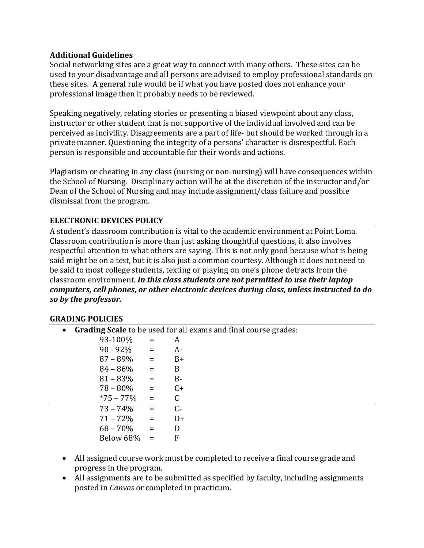#### **Additional Guidelines**

Social networking sites are a great way to connect with many others. These sites can be used to your disadvantage and all persons are advised to employ professional standards on these sites. A general rule would be if what you have posted does not enhance your professional image then it probably needs to be reviewed.

Speaking negatively, relating stories or presenting a biased viewpoint about any class, instructor or other student that is not supportive of the individual involved and can be perceived as incivility. Disagreements are a part of life- but should be worked through in a private manner. Questioning the integrity of a persons' character is disrespectful. Each person is responsible and accountable for their words and actions.

Plagiarism or cheating in any class (nursing or non-nursing) will have consequences within the School of Nursing. Disciplinary action will be at the discretion of the instructor and/or Dean of the School of Nursing and may include assignment/class failure and possible dismissal from the program.

# **ELECTRONIC DEVICES POLICY**

A student's classroom contribution is vital to the academic environment at Point Loma. Classroom contribution is more than just asking thoughtful questions, it also involves respectful attention to what others are saying. This is not only good because what is being said might be on a test, but it is also just a common courtesy. Although it does not need to be said to most college students, texting or playing on one's phone detracts from the classroom environment. In this class students are not permitted to use their laptop *computers, cell phones, or other electronic devices during class, unless instructed to do* so by the professor.

#### **GRADING POLICIES**

| $\bullet$ |               |                             | <b>Grading Scale</b> to be used for all exams and final course grades: |
|-----------|---------------|-----------------------------|------------------------------------------------------------------------|
|           | 93-100%       | $=$                         | A                                                                      |
|           | $90 - 92\% =$ |                             | A-                                                                     |
|           | $87 - 89\% =$ |                             | $B+$                                                                   |
|           | $84 - 86\%$   | $\mathcal{L} = \mathcal{L}$ | B                                                                      |
|           | $81 - 83%$    | and the state of the        | $B-$                                                                   |
|           | $78 - 80\% =$ |                             | $C+$                                                                   |
|           | *75 – 77%     | $\mathbf{r} = \mathbf{r}$   |                                                                        |
|           | $73 - 74\%$   | $\sim$ $\sim$ $\approx$     | $C-$                                                                   |
|           | $71 - 72%$    | $\mathcal{L} = \mathcal{L}$ | D+                                                                     |
|           | $68 - 70\%$   | $\sim$ $\approx$            | D                                                                      |
|           | Below 68%     | $=$                         | F                                                                      |
|           |               |                             |                                                                        |

- All assigned course work must be completed to receive a final course grade and progress in the program.
- $\bullet$  All assignments are to be submitted as specified by faculty, including assignments posted in *Canvas* or completed in practicum.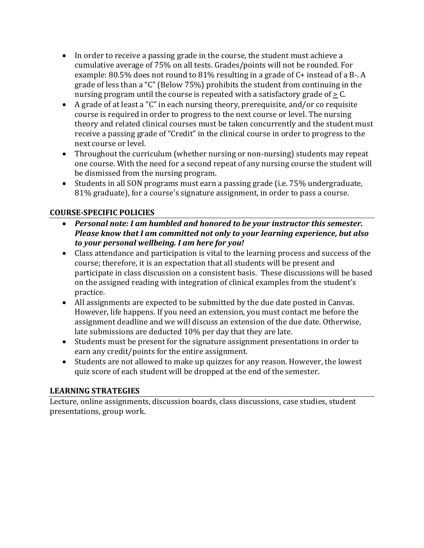- In order to receive a passing grade in the course, the student must achieve a cumulative average of 75% on all tests. Grades/points will not be rounded. For example:  $80.5\%$  does not round to  $81\%$  resulting in a grade of C+ instead of a B-. A grade of less than a "C" (Below  $75\%$ ) prohibits the student from continuing in the nursing program until the course is repeated with a satisfactory grade of  $\geq$  C.
- A grade of at least a "C" in each nursing theory, prerequisite, and/or co requisite course is required in order to progress to the next course or level. The nursing theory and related clinical courses must be taken concurrently and the student must receive a passing grade of "Credit" in the clinical course in order to progress to the next course or level.
- Throughout the curriculum (whether nursing or non-nursing) students may repeat one course. With the need for a second repeat of any nursing course the student will be dismissed from the nursing program.
- Students in all SON programs must earn a passing grade (i.e. 75% undergraduate, 81% graduate), for a course's signature assignment, in order to pass a course.

# **COURSE-SPECIFIC POLICIES**

- Personal note: I am humbled and honored to be your instructor this semester. *Please know that I am committed not only to your learning experience, but also* to your personal wellbeing. I am here for you!
- Class attendance and participation is vital to the learning process and success of the course; therefore, it is an expectation that all students will be present and participate in class discussion on a consistent basis. These discussions will be based on the assigned reading with integration of clinical examples from the student's practice.
- All assignments are expected to be submitted by the due date posted in Canvas. However, life happens. If you need an extension, you must contact me before the assignment deadline and we will discuss an extension of the due date. Otherwise, late submissions are deducted 10% per day that they are late.
- Students must be present for the signature assignment presentations in order to earn any credit/points for the entire assignment.
- Students are not allowed to make up quizzes for any reason. However, the lowest quiz score of each student will be dropped at the end of the semester.

# **LEARNING STRATEGIES**

Lecture, online assignments, discussion boards, class discussions, case studies, student presentations, group work.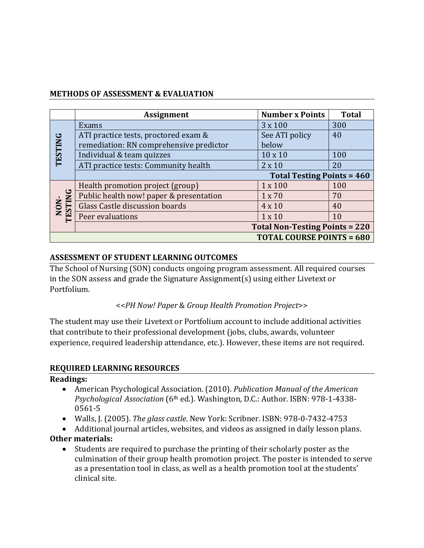#### **METHODS OF ASSESSMENT & EVALUATION**

|                                  | <b>Assignment</b>                       | <b>Number x Points</b>                | <b>Total</b> |
|----------------------------------|-----------------------------------------|---------------------------------------|--------------|
|                                  | Exams                                   | 3 x 100                               | 300          |
|                                  | ATI practice tests, proctored exam &    | See ATI policy                        | 40           |
|                                  | remediation: RN comprehensive predictor | below                                 |              |
| <b>TESTING</b>                   | Individual & team quizzes               | $10 \times 10$                        | 100          |
|                                  | ATI practice tests: Community health    | $2 \times 10$                         | 20           |
|                                  |                                         | <b>Total Testing Points = 460</b>     |              |
|                                  | Health promotion project (group)        | 1 x 100                               | 100          |
|                                  | Public health now! paper & presentation | 1 x 70                                | 70           |
|                                  | Glass Castle discussion boards          | 4 x 10                                | 40           |
| NON-<br>TESTING                  | Peer evaluations                        | $1 \times 10$                         | 10           |
|                                  |                                         | <b>Total Non-Testing Points = 220</b> |              |
| <b>TOTAL COURSE POINTS = 680</b> |                                         |                                       |              |

#### **ASSESSMENT OF STUDENT LEARNING OUTCOMES**

The School of Nursing (SON) conducts ongoing program assessment. All required courses in the SON assess and grade the Signature Assignment(s) using either Livetext or Portfolium.

#### <<*PH Now! Paper* & *Group Health Promotion Project*>>

The student may use their Livetext or Portfolium account to include additional activities that contribute to their professional development (jobs, clubs, awards, volunteer experience, required leadership attendance, etc.). However, these items are not required.

#### **REQUIRED LEARNING RESOURCES**

#### **Readings:**

- American Psychological Association. (2010). *Publication Manual of the American Psychological Association* (6<sup>th</sup> ed.). Washington, D.C.: Author. ISBN: 978-1-4338-0561-5
- Walls, J. (2005). *The glass castle*. New York: Scribner. ISBN: 978-0-7432-4753
- Additional journal articles, websites, and videos as assigned in daily lesson plans.

# **Other materials:**

• Students are required to purchase the printing of their scholarly poster as the culmination of their group health promotion project. The poster is intended to serve as a presentation tool in class, as well as a health promotion tool at the students' clinical site.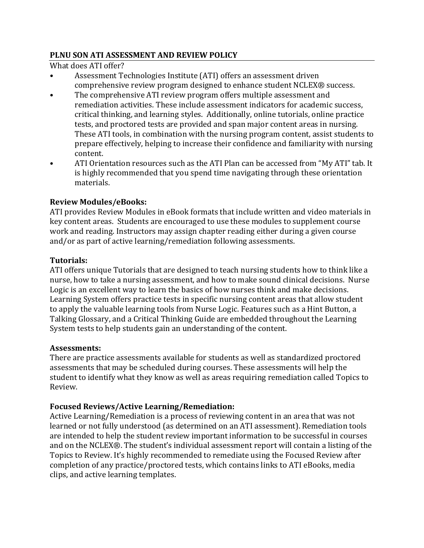#### **PLNU SON ATI ASSESSMENT AND REVIEW POLICY**

What does ATI offer?

- Assessment Technologies Institute (ATI) offers an assessment driven comprehensive review program designed to enhance student NCLEX® success.
- The comprehensive ATI review program offers multiple assessment and remediation activities. These include assessment indicators for academic success, critical thinking, and learning styles. Additionally, online tutorials, online practice tests, and proctored tests are provided and span major content areas in nursing. These ATI tools, in combination with the nursing program content, assist students to prepare effectively, helping to increase their confidence and familiarity with nursing content.
- ATI Orientation resources such as the ATI Plan can be accessed from "My ATI" tab. It is highly recommended that you spend time navigating through these orientation materials.

# **Review Modules/eBooks:**

ATI provides Review Modules in eBook formats that include written and video materials in key content areas. Students are encouraged to use these modules to supplement course work and reading. Instructors may assign chapter reading either during a given course and/or as part of active learning/remediation following assessments.

#### **Tutorials:**

ATI offers unique Tutorials that are designed to teach nursing students how to think like a nurse, how to take a nursing assessment, and how to make sound clinical decisions. Nurse Logic is an excellent way to learn the basics of how nurses think and make decisions. Learning System offers practice tests in specific nursing content areas that allow student to apply the valuable learning tools from Nurse Logic. Features such as a Hint Button, a Talking Glossary, and a Critical Thinking Guide are embedded throughout the Learning System tests to help students gain an understanding of the content.

#### **Assessments:**

There are practice assessments available for students as well as standardized proctored assessments that may be scheduled during courses. These assessments will help the student to identify what they know as well as areas requiring remediation called Topics to Review. 

# **Focused Reviews/Active Learning/Remediation:**

Active Learning/Remediation is a process of reviewing content in an area that was not learned or not fully understood (as determined on an ATI assessment). Remediation tools are intended to help the student review important information to be successful in courses and on the NCLEX®. The student's individual assessment report will contain a listing of the Topics to Review. It's highly recommended to remediate using the Focused Review after completion of any practice/proctored tests, which contains links to ATI eBooks, media clips, and active learning templates.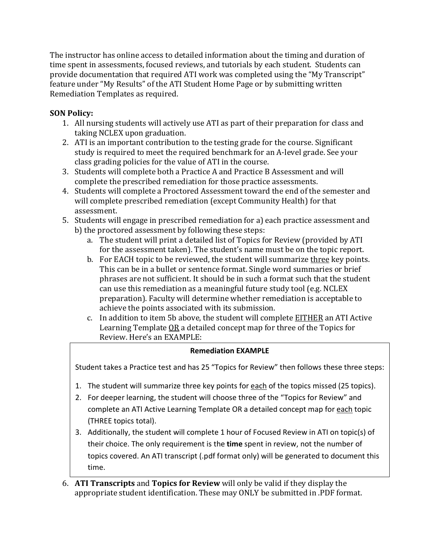The instructor has online access to detailed information about the timing and duration of time spent in assessments, focused reviews, and tutorials by each student. Students can provide documentation that required ATI work was completed using the "My Transcript" feature under "My Results" of the ATI Student Home Page or by submitting written Remediation Templates as required.

# **SON Policy:**

- 1. All nursing students will actively use ATI as part of their preparation for class and taking NCLEX upon graduation.
- 2. ATI is an important contribution to the testing grade for the course. Significant study is required to meet the required benchmark for an A-level grade. See your class grading policies for the value of ATI in the course.
- 3. Students will complete both a Practice A and Practice B Assessment and will complete the prescribed remediation for those practice assessments.
- 4. Students will complete a Proctored Assessment toward the end of the semester and will complete prescribed remediation (except Community Health) for that assessment.
- 5. Students will engage in prescribed remediation for a) each practice assessment and b) the proctored assessment by following these steps:
	- a. The student will print a detailed list of Topics for Review (provided by ATI for the assessment taken). The student's name must be on the topic report.
	- b. For EACH topic to be reviewed, the student will summarize three key points. This can be in a bullet or sentence format. Single word summaries or brief phrases are not sufficient. It should be in such a format such that the student can use this remediation as a meaningful future study tool (e.g. NCLEX preparation). Faculty will determine whether remediation is acceptable to achieve the points associated with its submission.
	- c. In addition to item 5b above, the student will complete **EITHER** an ATI Active Learning Template  $OR$  a detailed concept map for three of the Topics for Review. Here's an EXAMPLE:

#### **Remediation EXAMPLE**

Student takes a Practice test and has 25 "Topics for Review" then follows these three steps:

- 1. The student will summarize three key points for each of the topics missed (25 topics).
- 2. For deeper learning, the student will choose three of the "Topics for Review" and complete an ATI Active Learning Template OR a detailed concept map for each topic (THREE topics total).
- 3. Additionally, the student will complete 1 hour of Focused Review in ATI on topic(s) of their choice. The only requirement is the **time** spent in review, not the number of topics covered. An ATI transcript (.pdf format only) will be generated to document this time.
- 6. ATI Transcripts and Topics for Review will only be valid if they display the appropriate student identification. These may ONLY be submitted in .PDF format.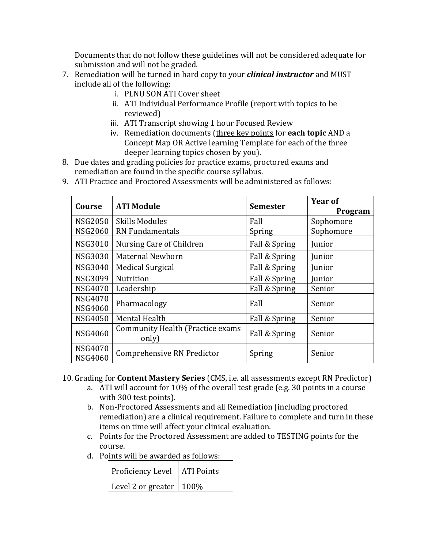Documents that do not follow these guidelines will not be considered adequate for submission and will not be graded.

- 7. Remediation will be turned in hard copy to your *clinical instructor* and MUST include all of the following:
	- i. PLNU SON ATI Cover sheet
	- ii. ATI Individual Performance Profile (report with topics to be reviewed)
	- iii. ATI Transcript showing 1 hour Focused Review
	- iv. Remediation documents (three key points for **each topic** AND a Concept Map OR Active learning Template for each of the three deeper learning topics chosen by you).
- 8. Due dates and grading policies for practice exams, proctored exams and remediation are found in the specific course syllabus.
- 9. ATI Practice and Proctored Assessments will be administered as follows:

| Course                           | <b>ATI Module</b>                                 | <b>Semester</b> | Year of<br>Program |
|----------------------------------|---------------------------------------------------|-----------------|--------------------|
| <b>NSG2050</b>                   | <b>Skills Modules</b>                             | Fall            | Sophomore          |
| <b>NSG2060</b>                   | <b>RN Fundamentals</b>                            | Spring          | Sophomore          |
| <b>NSG3010</b>                   | Nursing Care of Children                          | Fall & Spring   | Junior             |
| <b>NSG3030</b>                   | Maternal Newborn                                  | Fall & Spring   | Junior             |
| <b>NSG3040</b>                   | <b>Medical Surgical</b>                           | Fall & Spring   | Junior             |
| <b>NSG3099</b>                   | <b>Nutrition</b>                                  | Fall & Spring   | Junior             |
| <b>NSG4070</b>                   | Leadership                                        | Fall & Spring   | Senior             |
| <b>NSG4070</b><br><b>NSG4060</b> | Pharmacology                                      | Fall            | Senior             |
| <b>NSG4050</b>                   | Mental Health                                     | Fall & Spring   | Senior             |
| <b>NSG4060</b>                   | <b>Community Health (Practice exams)</b><br>only) | Fall & Spring   | Senior             |
| <b>NSG4070</b><br><b>NSG4060</b> | Comprehensive RN Predictor                        | Spring          | Senior             |

- 10. Grading for **Content Mastery Series** (CMS, i.e. all assessments except RN Predictor)
	- a. ATI will account for 10% of the overall test grade (e.g. 30 points in a course with 300 test points).
	- b. Non-Proctored Assessments and all Remediation (including proctored remediation) are a clinical requirement. Failure to complete and turn in these items on time will affect your clinical evaluation.
	- c. Points for the Proctored Assessment are added to TESTING points for the course.
	- d. Points will be awarded as follows:

| Proficiency Level   ATI Points |  |
|--------------------------------|--|
| Level 2 or greater   100%      |  |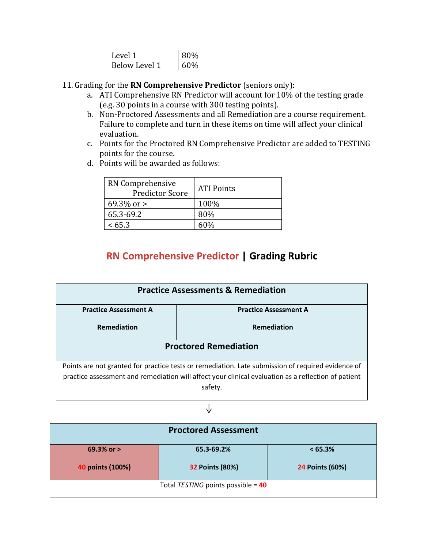| Level 1       |     |
|---------------|-----|
| Below Level 1 | 60% |

- 11. Grading for the **RN Comprehensive Predictor** (seniors only):
	- a. ATI Comprehensive RN Predictor will account for 10% of the testing grade (e.g. 30 points in a course with 300 testing points).
	- b. Non-Proctored Assessments and all Remediation are a course requirement. Failure to complete and turn in these items on time will affect your clinical evaluation.
	- c. Points for the Proctored RN Comprehensive Predictor are added to TESTING points for the course.
	- d. Points will be awarded as follows:

| RN Comprehensive<br><b>Predictor Score</b> | <b>ATI Points</b> |
|--------------------------------------------|-------------------|
| 69.3\% or $>$                              | 100%              |
| 65.3-69.2                                  | 80%               |
| < 65.3                                     | 6በ%               |

# **RN Comprehensive Predictor | Grading Rubric**

| <b>Practice Assessments &amp; Remediation</b>                                                       |                                                                                                   |  |  |
|-----------------------------------------------------------------------------------------------------|---------------------------------------------------------------------------------------------------|--|--|
| <b>Practice Assessment A</b>                                                                        | <b>Practice Assessment A</b>                                                                      |  |  |
| Remediation<br>Remediation                                                                          |                                                                                                   |  |  |
| <b>Proctored Remediation</b>                                                                        |                                                                                                   |  |  |
|                                                                                                     | Points are not granted for practice tests or remediation. Late submission of required evidence of |  |  |
| practice assessment and remediation will affect your clinical evaluation as a reflection of patient |                                                                                                   |  |  |
| safety.                                                                                             |                                                                                                   |  |  |

#### $\downarrow$

| <b>Proctored Assessment</b>        |                        |                        |  |
|------------------------------------|------------------------|------------------------|--|
| 69.3% or $>$                       | 65.3-69.2%             | $< 65.3\%$             |  |
| 40 points (100%)                   | <b>32 Points (80%)</b> | <b>24 Points (60%)</b> |  |
| Total TESTING points possible = 40 |                        |                        |  |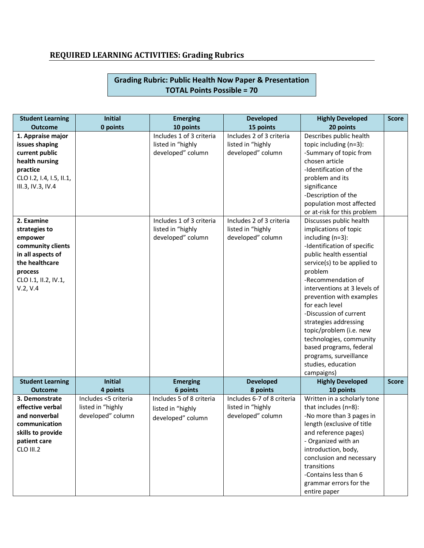# **REQUIRED LEARNING ACTIVITIES: Grading Rubrics**

#### **Grading Rubric: Public Health Now Paper & Presentation TOTAL Points Possible = 70**

| <b>Student Learning</b><br><b>Outcome</b> | <b>Initial</b><br>0 points | <b>Emerging</b><br>10 points | <b>Developed</b><br>15 points | <b>Highly Developed</b><br>20 points | <b>Score</b> |
|-------------------------------------------|----------------------------|------------------------------|-------------------------------|--------------------------------------|--------------|
| 1. Appraise major                         |                            | Includes 1 of 3 criteria     | Includes 2 of 3 criteria      | Describes public health              |              |
| issues shaping                            |                            | listed in "highly            | listed in "highly             | topic including (n=3):               |              |
| current public                            |                            | developed" column            | developed" column             | -Summary of topic from               |              |
| health nursing                            |                            |                              |                               | chosen article                       |              |
| practice                                  |                            |                              |                               | -Identification of the               |              |
| CLO 1.2, 1.4, 1.5, 11.1,                  |                            |                              |                               | problem and its                      |              |
| III.3, IV.3, IV.4                         |                            |                              |                               | significance                         |              |
|                                           |                            |                              |                               | -Description of the                  |              |
|                                           |                            |                              |                               | population most affected             |              |
|                                           |                            |                              |                               | or at-risk for this problem          |              |
| 2. Examine                                |                            | Includes 1 of 3 criteria     | Includes 2 of 3 criteria      | Discusses public health              |              |
| strategies to                             |                            | listed in "highly            | listed in "highly             | implications of topic                |              |
| empower                                   |                            | developed" column            | developed" column             | including $(n=3)$ :                  |              |
| community clients                         |                            |                              |                               | -Identification of specific          |              |
| in all aspects of                         |                            |                              |                               | public health essential              |              |
| the healthcare                            |                            |                              |                               | service(s) to be applied to          |              |
| process                                   |                            |                              |                               | problem                              |              |
| CLO 1.1, II.2, IV.1,                      |                            |                              |                               | -Recommendation of                   |              |
| V.2, V.4                                  |                            |                              |                               | interventions at 3 levels of         |              |
|                                           |                            |                              |                               | prevention with examples             |              |
|                                           |                            |                              |                               | for each level                       |              |
|                                           |                            |                              |                               | -Discussion of current               |              |
|                                           |                            |                              |                               | strategies addressing                |              |
|                                           |                            |                              |                               | topic/problem (i.e. new              |              |
|                                           |                            |                              |                               | technologies, community              |              |
|                                           |                            |                              |                               | based programs, federal              |              |
|                                           |                            |                              |                               | programs, surveillance               |              |
|                                           |                            |                              |                               | studies, education                   |              |
|                                           |                            |                              |                               | campaigns)                           |              |
| <b>Student Learning</b>                   | <b>Initial</b>             | <b>Emerging</b>              | <b>Developed</b>              | <b>Highly Developed</b>              | <b>Score</b> |
| <b>Outcome</b>                            | 4 points                   | 6 points                     | 8 points                      | 10 points                            |              |
| 3. Demonstrate                            | Includes <5 criteria       | Includes 5 of 8 criteria     | Includes 6-7 of 8 criteria    | Written in a scholarly tone          |              |
| effective verbal                          | listed in "highly          | listed in "highly            | listed in "highly             | that includes (n=8):                 |              |
| and nonverbal                             | developed" column          |                              | developed" column             | -No more than 3 pages in             |              |
| communication                             |                            | developed" column            |                               | length (exclusive of title           |              |
| skills to provide                         |                            |                              |                               | and reference pages)                 |              |
| patient care                              |                            |                              |                               | - Organized with an                  |              |
| CLO III.2                                 |                            |                              |                               | introduction, body,                  |              |
|                                           |                            |                              |                               | conclusion and necessary             |              |
|                                           |                            |                              |                               | transitions                          |              |
|                                           |                            |                              |                               | -Contains less than 6                |              |
|                                           |                            |                              |                               | grammar errors for the               |              |
|                                           |                            |                              |                               | entire paper                         |              |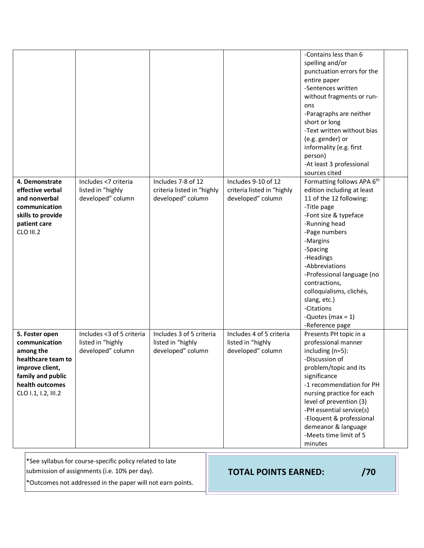|                                                                                                                                                      |                                                                     |                                                                       |                                                                        | -Contains less than 6<br>spelling and/or<br>punctuation errors for the<br>entire paper<br>-Sentences written<br>without fragments or run-<br>ons<br>-Paragraphs are neither<br>short or long<br>-Text written without bias<br>(e.g. gender) or<br>informality (e.g. first<br>person)<br>-At least 3 professional<br>sources cited                                        |  |
|------------------------------------------------------------------------------------------------------------------------------------------------------|---------------------------------------------------------------------|-----------------------------------------------------------------------|------------------------------------------------------------------------|--------------------------------------------------------------------------------------------------------------------------------------------------------------------------------------------------------------------------------------------------------------------------------------------------------------------------------------------------------------------------|--|
| 4. Demonstrate<br>effective verbal<br>and nonverbal<br>communication<br>skills to provide<br>patient care<br>CLO III.2                               | Includes <7 criteria<br>listed in "highly<br>developed" column      | Includes 7-8 of 12<br>criteria listed in "highly<br>developed" column | Includes 9-10 of 12<br>criteria listed in "highly<br>developed" column | Formatting follows APA 6th<br>edition including at least<br>11 of the 12 following:<br>-Title page<br>-Font size & typeface<br>-Running head<br>-Page numbers<br>-Margins<br>-Spacing<br>-Headings<br>-Abbreviations<br>-Professional language (no<br>contractions,<br>colloquialisms, clichés,<br>slang, etc.)<br>-Citations<br>-Quotes (max = $1$ )<br>-Reference page |  |
| 5. Foster open<br>communication<br>among the<br>healthcare team to<br>improve client,<br>family and public<br>health outcomes<br>CLO 1.1, 1.2, III.2 | Includes <3 of 5 criteria<br>listed in "highly<br>developed" column | Includes 3 of 5 criteria<br>listed in "highly<br>developed" column    | Includes 4 of 5 criteria<br>listed in "highly<br>developed" column     | Presents PH topic in a<br>professional manner<br>including (n=5):<br>-Discussion of<br>problem/topic and its<br>significance<br>-1 recommendation for PH<br>nursing practice for each<br>level of prevention (3)<br>-PH essential service(s)<br>-Eloquent & professional<br>demeanor & language<br>-Meets time limit of 5<br>minutes                                     |  |

\*See syllabus for course-specific policy related to late

submission of assignments (i.e. 10% per day).

\*Outcomes not addressed in the paper will not earn points.

**TOTAL POINTS EARNED: /70**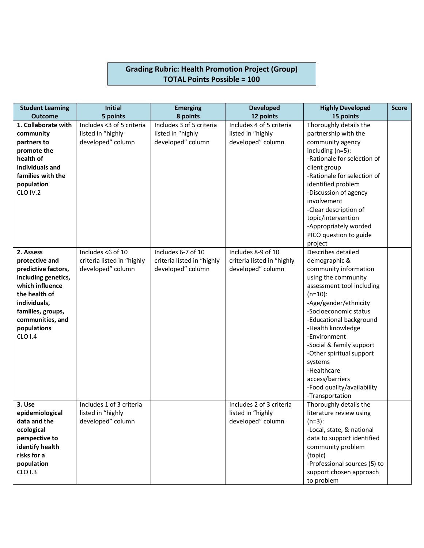#### **Grading Rubric: Health Promotion Project (Group) TOTAL Points Possible = 100**

| <b>Student Learning</b>   | <b>Initial</b>                                | <b>Emerging</b>            | <b>Developed</b>                              | <b>Highly Developed</b>                     | <b>Score</b> |
|---------------------------|-----------------------------------------------|----------------------------|-----------------------------------------------|---------------------------------------------|--------------|
| <b>Outcome</b>            | 5 points                                      | 8 points                   | 12 points                                     | 15 points                                   |              |
| 1. Collaborate with       | Includes <3 of 5 criteria                     | Includes 3 of 5 criteria   | Includes 4 of 5 criteria                      | Thoroughly details the                      |              |
| community                 | listed in "highly                             | listed in "highly          | listed in "highly                             | partnership with the                        |              |
| partners to               | developed" column                             | developed" column          | developed" column                             | community agency                            |              |
| promote the               |                                               |                            |                                               | including $(n=5)$ :                         |              |
| health of                 |                                               |                            |                                               | -Rationale for selection of                 |              |
| individuals and           |                                               |                            |                                               | client group                                |              |
| families with the         |                                               |                            |                                               | -Rationale for selection of                 |              |
| population                |                                               |                            |                                               | identified problem                          |              |
| CLO IV.2                  |                                               |                            |                                               | -Discussion of agency<br>involvement        |              |
|                           |                                               |                            |                                               |                                             |              |
|                           |                                               |                            |                                               | -Clear description of<br>topic/intervention |              |
|                           |                                               |                            |                                               | -Appropriately worded                       |              |
|                           |                                               |                            |                                               | PICO question to guide                      |              |
|                           |                                               |                            |                                               | project                                     |              |
| 2. Assess                 | Includes <6 of 10                             | Includes 6-7 of 10         | Includes 8-9 of 10                            | Describes detailed                          |              |
| protective and            | criteria listed in "highly                    | criteria listed in "highly | criteria listed in "highly                    | demographic &                               |              |
| predictive factors,       | developed" column                             | developed" column          | developed" column                             | community information                       |              |
| including genetics,       |                                               |                            |                                               | using the community                         |              |
| which influence           |                                               |                            |                                               | assessment tool including                   |              |
| the health of             |                                               |                            |                                               | $(n=10)$ :                                  |              |
| individuals,              |                                               |                            |                                               | -Age/gender/ethnicity                       |              |
| families, groups,         |                                               |                            |                                               | -Socioeconomic status                       |              |
| communities, and          |                                               |                            |                                               | -Educational background                     |              |
| populations               |                                               |                            |                                               | -Health knowledge                           |              |
| <b>CLO 1.4</b>            |                                               |                            |                                               | -Environment                                |              |
|                           |                                               |                            |                                               | -Social & family support                    |              |
|                           |                                               |                            |                                               | -Other spiritual support                    |              |
|                           |                                               |                            |                                               | systems                                     |              |
|                           |                                               |                            |                                               | -Healthcare                                 |              |
|                           |                                               |                            |                                               | access/barriers                             |              |
|                           |                                               |                            |                                               | -Food quality/availability                  |              |
|                           |                                               |                            |                                               | -Transportation                             |              |
| 3. Use<br>epidemiological | Includes 1 of 3 criteria<br>listed in "highly |                            | Includes 2 of 3 criteria<br>listed in "highly | Thoroughly details the                      |              |
| data and the              | developed" column                             |                            | developed" column                             | literature review using<br>$(n=3):$         |              |
| ecological                |                                               |                            |                                               | -Local, state, & national                   |              |
| perspective to            |                                               |                            |                                               | data to support identified                  |              |
| identify health           |                                               |                            |                                               | community problem                           |              |
| risks for a               |                                               |                            |                                               | (topic)                                     |              |
| population                |                                               |                            |                                               | -Professional sources (5) to                |              |
| CLO 1.3                   |                                               |                            |                                               | support chosen approach                     |              |
|                           |                                               |                            |                                               | to problem                                  |              |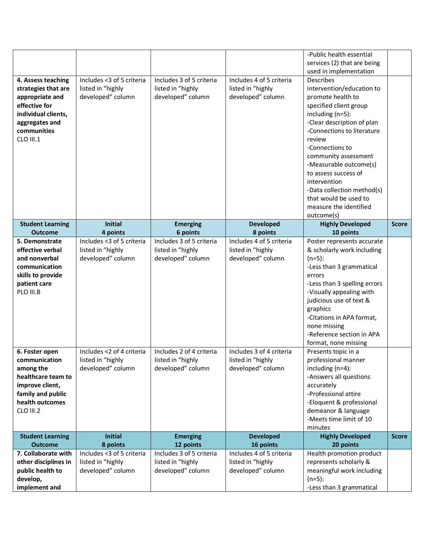|                                                                                                                                                    |                                                                     |                                                                    |                                                                    | -Public health essential<br>services (2) that are being                                                                                                                                                                                                                                                                                                                                                                      |              |
|----------------------------------------------------------------------------------------------------------------------------------------------------|---------------------------------------------------------------------|--------------------------------------------------------------------|--------------------------------------------------------------------|------------------------------------------------------------------------------------------------------------------------------------------------------------------------------------------------------------------------------------------------------------------------------------------------------------------------------------------------------------------------------------------------------------------------------|--------------|
| 4. Assess teaching<br>strategies that are<br>appropriate and<br>effective for<br>individual clients,<br>aggregates and<br>communities<br>CLO III.1 | Includes <3 of 5 criteria<br>listed in "highly<br>developed" column | Includes 3 of 5 criteria<br>listed in "highly<br>developed" column | Includes 4 of 5 criteria<br>listed in "highly<br>developed" column | used in implementation<br><b>Describes</b><br>intervention/education to<br>promote health to<br>specified client group<br>including (n=5):<br>-Clear description of plan<br>-Connections to literature<br>review<br>-Connections to<br>community assessment<br>-Measurable outcome(s)<br>to assess success of<br>intervention<br>-Data collection method(s)<br>that would be used to<br>measure the identified<br>outcome(s) |              |
| <b>Student Learning</b><br><b>Outcome</b>                                                                                                          | <b>Initial</b><br>4 points                                          | <b>Emerging</b><br>6 points                                        | <b>Developed</b><br>8 points                                       | <b>Highly Developed</b><br>10 points                                                                                                                                                                                                                                                                                                                                                                                         | <b>Score</b> |
| 5. Demonstrate<br>effective verbal<br>and nonverbal<br>communication<br>skills to provide<br>patient care<br>PLO III.B                             | Includes <3 of 5 criteria<br>listed in "highly<br>developed" column | Includes 3 of 5 criteria<br>listed in "highly<br>developed" column | Includes 4 of 5 criteria<br>listed in "highly<br>developed" column | Poster represents accurate<br>& scholarly work including<br>$(n=5):$<br>-Less than 3 grammatical<br>errors<br>-Less than 3 spelling errors<br>-Visually appealing with<br>judicious use of text &<br>graphics<br>-Citations in APA format,<br>none missing<br>-Reference section in APA<br>format, none missing                                                                                                              |              |
| 6. Foster open<br>communication<br>among the<br>healthcare team to<br>improve client,<br>family and public<br>health outcomes<br>CLO III.2         | Includes <2 of 4 criteria<br>listed in "highly<br>developed" column | Includes 2 of 4 criteria<br>listed in "highly<br>developed" column | Includes 3 of 4 criteria<br>listed in "highly<br>developed" column | Presents topic in a<br>professional manner<br>including $(n=4)$ :<br>-Answers all questions<br>accurately<br>-Professional attire<br>-Eloquent & professional<br>demeanor & language<br>-Meets time limit of 10<br>minutes                                                                                                                                                                                                   |              |
| <b>Student Learning</b><br><b>Outcome</b>                                                                                                          | <b>Initial</b><br>8 points                                          | <b>Emerging</b><br>12 points                                       | <b>Developed</b><br>16 points                                      | <b>Highly Developed</b><br>20 points                                                                                                                                                                                                                                                                                                                                                                                         | <b>Score</b> |
| 7. Collaborate with<br>other disciplines in<br>public health to<br>develop,<br>implement and                                                       | Includes <3 of 5 criteria<br>listed in "highly<br>developed" column | Includes 3 of 5 criteria<br>listed in "highly<br>developed" column | Includes 4 of 5 criteria<br>listed in "highly<br>developed" column | Health promotion product<br>represents scholarly &<br>meaningful work including<br>$(n=5):$<br>-Less than 3 grammatical                                                                                                                                                                                                                                                                                                      |              |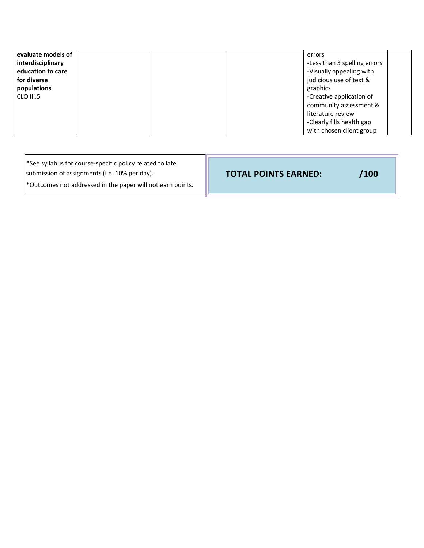| evaluate models of<br>interdisciplinary<br>education to care<br>for diverse<br>populations<br>CLO III.5 | errors<br>-Less than 3 spelling errors<br>-Visually appealing with<br>judicious use of text &<br>graphics<br>-Creative application of<br>community assessment &<br>literature review |
|---------------------------------------------------------------------------------------------------------|--------------------------------------------------------------------------------------------------------------------------------------------------------------------------------------|
|                                                                                                         | -Clearly fills health gap<br>with chosen client group                                                                                                                                |

| *See syllabus for course-specific policy related to late<br>submission of assignments (i.e. 10% per day).<br>*Outcomes not addressed in the paper will not earn points. | <b>TOTAL POINTS EARNED:</b> | 100/ |
|-------------------------------------------------------------------------------------------------------------------------------------------------------------------------|-----------------------------|------|
|-------------------------------------------------------------------------------------------------------------------------------------------------------------------------|-----------------------------|------|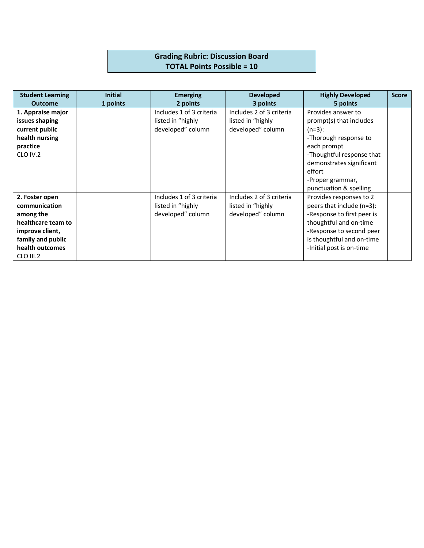# **Grading Rubric: Discussion Board TOTAL Points Possible = 10**

| <b>Student Learning</b> | <b>Initial</b> | <b>Emerging</b>          | <b>Developed</b>         | <b>Highly Developed</b>    | <b>Score</b> |
|-------------------------|----------------|--------------------------|--------------------------|----------------------------|--------------|
| <b>Outcome</b>          | 1 points       | 2 points                 | 3 points                 | 5 points                   |              |
| 1. Appraise major       |                | Includes 1 of 3 criteria | Includes 2 of 3 criteria | Provides answer to         |              |
| issues shaping          |                | listed in "highly        | listed in "highly        | prompt(s) that includes    |              |
| current public          |                | developed" column        | developed" column        | $(n=3):$                   |              |
| health nursing          |                |                          |                          | -Thorough response to      |              |
| practice                |                |                          |                          | each prompt                |              |
| CLO IV.2                |                |                          |                          | -Thoughtful response that  |              |
|                         |                |                          |                          | demonstrates significant   |              |
|                         |                |                          |                          | effort                     |              |
|                         |                |                          |                          | -Proper grammar,           |              |
|                         |                |                          |                          | punctuation & spelling     |              |
| 2. Foster open          |                | Includes 1 of 3 criteria | Includes 2 of 3 criteria | Provides responses to 2    |              |
| communication           |                | listed in "highly        | listed in "highly        | peers that include (n=3):  |              |
| among the               |                | developed" column        | developed" column        | -Response to first peer is |              |
| healthcare team to      |                |                          |                          | thoughtful and on-time     |              |
| improve client,         |                |                          |                          | -Response to second peer   |              |
| family and public       |                |                          |                          | is thoughtful and on-time  |              |
| health outcomes         |                |                          |                          | -Initial post is on-time   |              |
| CLO III.2               |                |                          |                          |                            |              |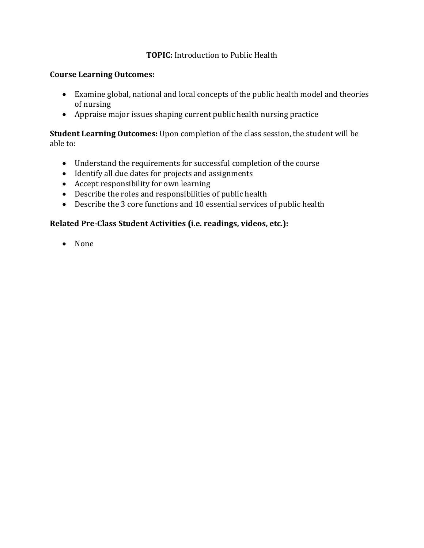#### **TOPIC:** Introduction to Public Health

#### **Course Learning Outcomes:**

- Examine global, national and local concepts of the public health model and theories of nursing
- Appraise major issues shaping current public health nursing practice

#### **Student Learning Outcomes:** Upon completion of the class session, the student will be able to:

- Understand the requirements for successful completion of the course
- Identify all due dates for projects and assignments
- Accept responsibility for own learning
- $\bullet$  Describe the roles and responsibilities of public health
- Describe the 3 core functions and 10 essential services of public health

#### Related Pre-Class Student Activities (i.e. readings, videos, etc.):

• None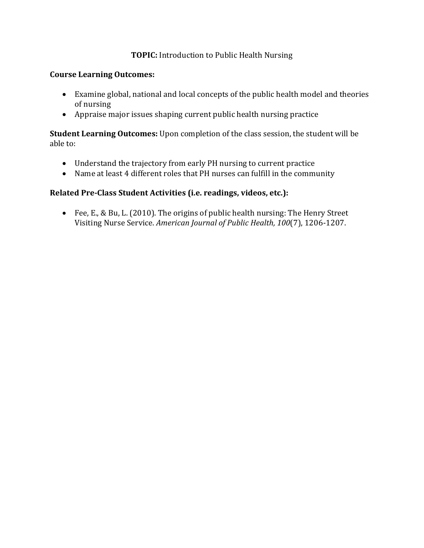#### **TOPIC:** Introduction to Public Health Nursing

#### **Course Learning Outcomes:**

- Examine global, national and local concepts of the public health model and theories of nursing
- Appraise major issues shaping current public health nursing practice

**Student Learning Outcomes:** Upon completion of the class session, the student will be able to:

- Understand the trajectory from early PH nursing to current practice
- Name at least 4 different roles that PH nurses can fulfill in the community

#### Related Pre-Class Student Activities (i.e. readings, videos, etc.):

• Fee, E., & Bu, L. (2010). The origins of public health nursing: The Henry Street Visiting Nurse Service. *American Journal of Public Health, 100*(7), 1206-1207.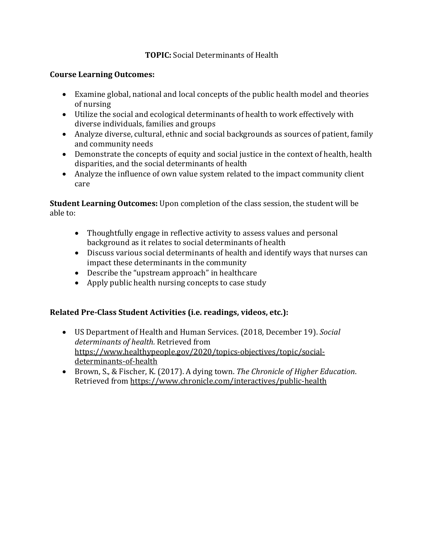# **TOPIC:** Social Determinants of Health

#### **Course Learning Outcomes:**

- Examine global, national and local concepts of the public health model and theories of nursing
- Utilize the social and ecological determinants of health to work effectively with diverse individuals, families and groups
- Analyze diverse, cultural, ethnic and social backgrounds as sources of patient, family and community needs
- Demonstrate the concepts of equity and social justice in the context of health, health disparities, and the social determinants of health
- Analyze the influence of own value system related to the impact community client care

**Student Learning Outcomes:** Upon completion of the class session, the student will be able to:

- Thoughtfully engage in reflective activity to assess values and personal background as it relates to social determinants of health
- Discuss various social determinants of health and identify ways that nurses can impact these determinants in the community
- Describe the "upstream approach" in healthcare
- Apply public health nursing concepts to case study

# Related Pre-Class Student Activities (i.e. readings, videos, etc.):

- US Department of Health and Human Services. (2018, December 19). *Social* determinants of health. Retrieved from https://www.healthypeople.gov/2020/topics-objectives/topic/socialdeterminants-of-health
- Brown, S., & Fischer, K. (2017). A dying town. The Chronicle of Higher Education. Retrieved from https://www.chronicle.com/interactives/public-health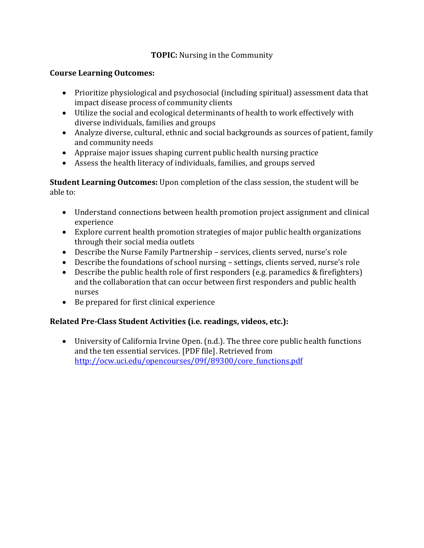# **TOPIC:** Nursing in the Community

#### **Course Learning Outcomes:**

- Prioritize physiological and psychosocial (including spiritual) assessment data that impact disease process of community clients
- Utilize the social and ecological determinants of health to work effectively with diverse individuals, families and groups
- Analyze diverse, cultural, ethnic and social backgrounds as sources of patient, family and community needs
- Appraise major issues shaping current public health nursing practice
- Assess the health literacy of individuals, families, and groups served

**Student Learning Outcomes:** Upon completion of the class session, the student will be able to:

- Understand connections between health promotion project assignment and clinical experience
- Explore current health promotion strategies of major public health organizations through their social media outlets
- Describe the Nurse Family Partnership services, clients served, nurse's role
- Describe the foundations of school nursing settings, clients served, nurse's role
- Describe the public health role of first responders (e.g. paramedics  $&$  firefighters) and the collaboration that can occur between first responders and public health nurses
- Be prepared for first clinical experience

# Related Pre-Class Student Activities (i.e. readings, videos, etc.):

• University of California Irvine Open.  $(n.d.)$ . The three core public health functions and the ten essential services. [PDF file]. Retrieved from http://ocw.uci.edu/opencourses/09f/89300/core\_functions.pdf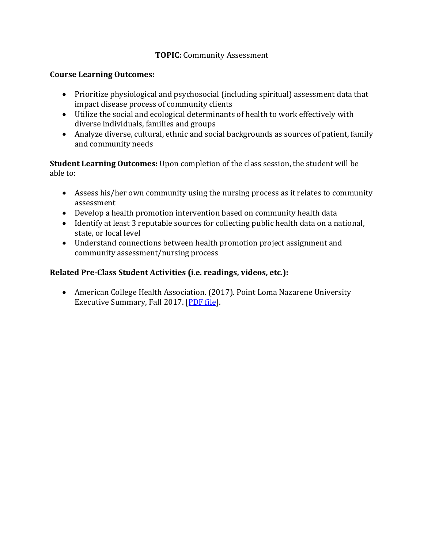#### **TOPIC: Community Assessment**

#### **Course Learning Outcomes:**

- Prioritize physiological and psychosocial (including spiritual) assessment data that impact disease process of community clients
- Utilize the social and ecological determinants of health to work effectively with diverse individuals, families and groups
- Analyze diverse, cultural, ethnic and social backgrounds as sources of patient, family and community needs

**Student Learning Outcomes:** Upon completion of the class session, the student will be able to:

- Assess his/her own community using the nursing process as it relates to community assessment
- Develop a health promotion intervention based on community health data
- Identify at least 3 reputable sources for collecting public health data on a national, state, or local level
- Understand connections between health promotion project assignment and community assessment/nursing process

#### Related Pre-Class Student Activities (i.e. readings, videos, etc.):

• American College Health Association. (2017). Point Loma Nazarene University Executive Summary, Fall 2017. [PDF file].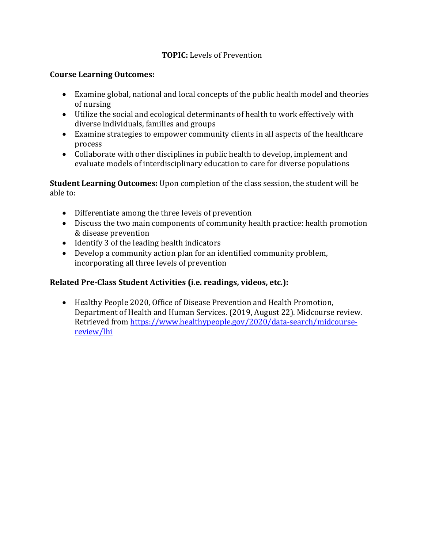# **TOPIC:** Levels of Prevention

#### **Course Learning Outcomes:**

- Examine global, national and local concepts of the public health model and theories of nursing
- Utilize the social and ecological determinants of health to work effectively with diverse individuals, families and groups
- Examine strategies to empower community clients in all aspects of the healthcare process
- Collaborate with other disciplines in public health to develop, implement and evaluate models of interdisciplinary education to care for diverse populations

**Student Learning Outcomes:** Upon completion of the class session, the student will be able  $to$ :

- Differentiate among the three levels of prevention
- Discuss the two main components of community health practice: health promotion & disease prevention
- Identify 3 of the leading health indicators
- Develop a community action plan for an identified community problem, incorporating all three levels of prevention

# Related Pre-Class Student Activities (i.e. readings, videos, etc.):

• Healthy People 2020, Office of Disease Prevention and Health Promotion, Department of Health and Human Services. (2019, August 22). Midcourse review. Retrieved from https://www.healthypeople.gov/2020/data-search/midcoursereview/lhi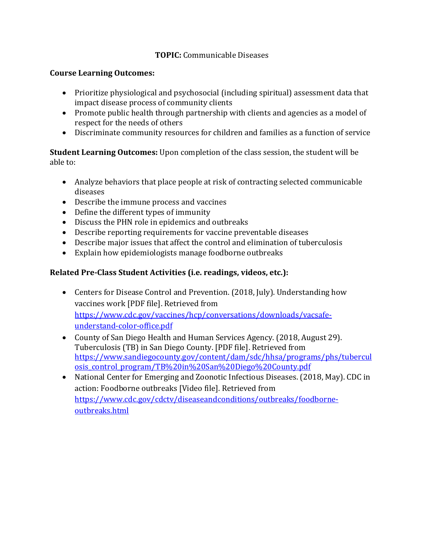# **TOPIC:** Communicable Diseases

#### **Course Learning Outcomes:**

- Prioritize physiological and psychosocial (including spiritual) assessment data that impact disease process of community clients
- Promote public health through partnership with clients and agencies as a model of respect for the needs of others
- Discriminate community resources for children and families as a function of service

**Student Learning Outcomes:** Upon completion of the class session, the student will be able to:

- Analyze behaviors that place people at risk of contracting selected communicable diseases
- Describe the immune process and vaccines
- Define the different types of immunity
- Discuss the PHN role in epidemics and outbreaks
- Describe reporting requirements for vaccine preventable diseases
- Describe major issues that affect the control and elimination of tuberculosis
- Explain how epidemiologists manage foodborne outbreaks

# Related Pre-Class Student Activities (i.e. readings, videos, etc.):

- Centers for Disease Control and Prevention. (2018, July). Understanding how vaccines work [PDF file]. Retrieved from https://www.cdc.gov/vaccines/hcp/conversations/downloads/vacsafeunderstand-color-office.pdf
- County of San Diego Health and Human Services Agency. (2018, August 29). Tuberculosis (TB) in San Diego County. [PDF file]. Retrieved from https://www.sandiegocounty.gov/content/dam/sdc/hhsa/programs/phs/tubercul osis\_control\_program/TB%20in%20San%20Diego%20County.pdf
- National Center for Emerging and Zoonotic Infectious Diseases. (2018, May). CDC in action: Foodborne outbreaks [Video file]. Retrieved from https://www.cdc.gov/cdctv/diseaseandconditions/outbreaks/foodborneoutbreaks.html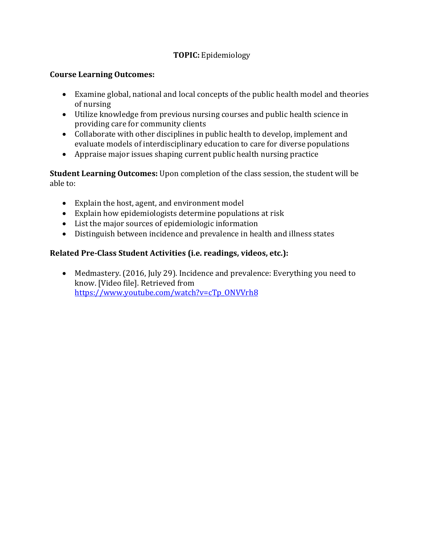# **TOPIC:** Epidemiology

# **Course Learning Outcomes:**

- Examine global, national and local concepts of the public health model and theories of nursing
- Utilize knowledge from previous nursing courses and public health science in providing care for community clients
- Collaborate with other disciplines in public health to develop, implement and evaluate models of interdisciplinary education to care for diverse populations
- Appraise major issues shaping current public health nursing practice

**Student Learning Outcomes:** Upon completion of the class session, the student will be able to:

- Explain the host, agent, and environment model
- Explain how epidemiologists determine populations at risk
- List the major sources of epidemiologic information
- Distinguish between incidence and prevalence in health and illness states

# Related Pre-Class Student Activities (i.e. readings, videos, etc.):

• Medmastery. (2016, July 29). Incidence and prevalence: Everything you need to know. [Video file]. Retrieved from https://www.youtube.com/watch?v=cTp\_ONVVrh8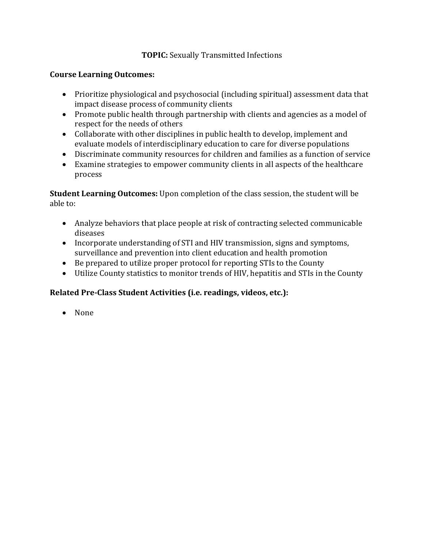# **TOPIC:** Sexually Transmitted Infections

#### **Course Learning Outcomes:**

- Prioritize physiological and psychosocial (including spiritual) assessment data that impact disease process of community clients
- Promote public health through partnership with clients and agencies as a model of respect for the needs of others
- Collaborate with other disciplines in public health to develop, implement and evaluate models of interdisciplinary education to care for diverse populations
- Discriminate community resources for children and families as a function of service
- Examine strategies to empower community clients in all aspects of the healthcare process

**Student Learning Outcomes:** Upon completion of the class session, the student will be able to:

- Analyze behaviors that place people at risk of contracting selected communicable diseases
- Incorporate understanding of STI and HIV transmission, signs and symptoms, surveillance and prevention into client education and health promotion
- Be prepared to utilize proper protocol for reporting STIs to the County
- Utilize County statistics to monitor trends of HIV, hepatitis and STIs in the County

# Related Pre-Class Student Activities (i.e. readings, videos, etc.):

• None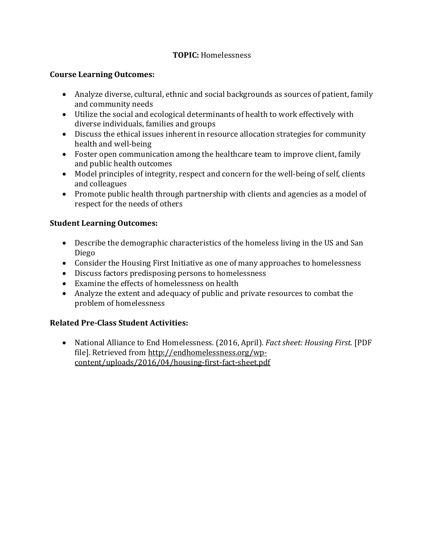# **TOPIC:** Homelessness

#### **Course Learning Outcomes:**

- Analyze diverse, cultural, ethnic and social backgrounds as sources of patient, family and community needs
- Utilize the social and ecological determinants of health to work effectively with diverse individuals, families and groups
- Discuss the ethical issues inherent in resource allocation strategies for community health and well-being
- Foster open communication among the healthcare team to improve client, family and public health outcomes
- Model principles of integrity, respect and concern for the well-being of self, clients and colleagues
- Promote public health through partnership with clients and agencies as a model of respect for the needs of others

# **Student Learning Outcomes:**

- Describe the demographic characteristics of the homeless living in the US and San Diego
- Consider the Housing First Initiative as one of many approaches to homelessness
- Discuss factors predisposing persons to homelessness
- Examine the effects of homelessness on health
- Analyze the extent and adequacy of public and private resources to combat the problem of homelessness

# **Related Pre-Class Student Activities:**

• National Alliance to End Homelessness. (2016, April). *Fact sheet: Housing First.* [PDF file]. Retrieved from http://endhomelessness.org/wpcontent/uploads/2016/04/housing-first-fact-sheet.pdf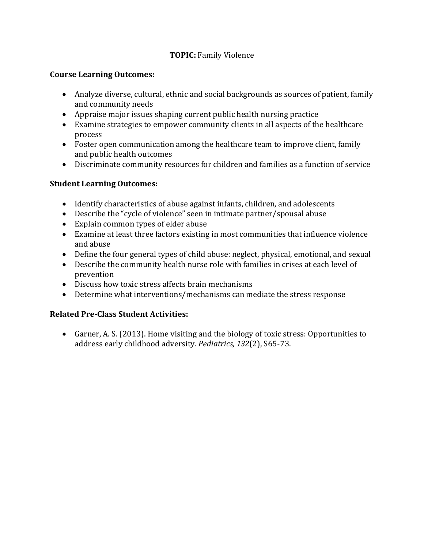# **TOPIC:** Family Violence

#### **Course Learning Outcomes:**

- Analyze diverse, cultural, ethnic and social backgrounds as sources of patient, family and community needs
- Appraise major issues shaping current public health nursing practice
- Examine strategies to empower community clients in all aspects of the healthcare process
- Foster open communication among the healthcare team to improve client, family and public health outcomes
- Discriminate community resources for children and families as a function of service

# **Student Learning Outcomes:**

- Identify characteristics of abuse against infants, children, and adolescents
- Describe the "cycle of violence" seen in intimate partner/spousal abuse
- Explain common types of elder abuse
- Examine at least three factors existing in most communities that influence violence and abuse
- Define the four general types of child abuse: neglect, physical, emotional, and sexual
- Describe the community health nurse role with families in crises at each level of prevention
- Discuss how toxic stress affects brain mechanisms
- Determine what interventions/mechanisms can mediate the stress response

# **Related Pre-Class Student Activities:**

• Garner, A. S. (2013). Home visiting and the biology of toxic stress: Opportunities to address early childhood adversity. Pediatrics, 132(2), S65-73.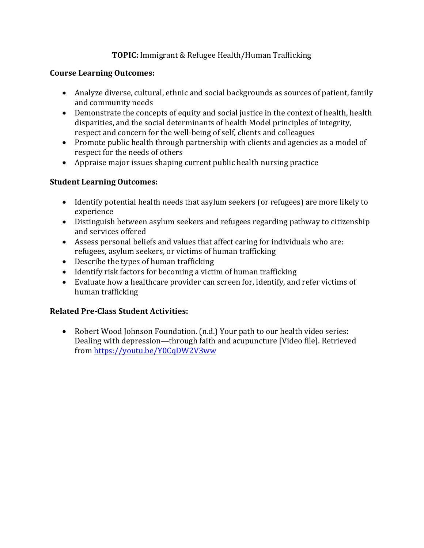# **TOPIC:** Immigrant & Refugee Health/Human Trafficking

#### **Course Learning Outcomes:**

- Analyze diverse, cultural, ethnic and social backgrounds as sources of patient, family and community needs
- Demonstrate the concepts of equity and social justice in the context of health, health disparities, and the social determinants of health Model principles of integrity, respect and concern for the well-being of self, clients and colleagues
- Promote public health through partnership with clients and agencies as a model of respect for the needs of others
- Appraise major issues shaping current public health nursing practice

# **Student Learning Outcomes:**

- Identify potential health needs that asylum seekers (or refugees) are more likely to experience
- Distinguish between asylum seekers and refugees regarding pathway to citizenship and services offered
- Assess personal beliefs and values that affect caring for individuals who are: refugees, asylum seekers, or victims of human trafficking
- Describe the types of human trafficking
- $\bullet$  Identify risk factors for becoming a victim of human trafficking
- Evaluate how a healthcare provider can screen for, identify, and refer victims of human trafficking

# **Related Pre-Class Student Activities:**

• Robert Wood Johnson Foundation. (n.d.) Your path to our health video series: Dealing with depression—through faith and acupuncture [Video file]. Retrieved from https://youtu.be/Y0CqDW2V3ww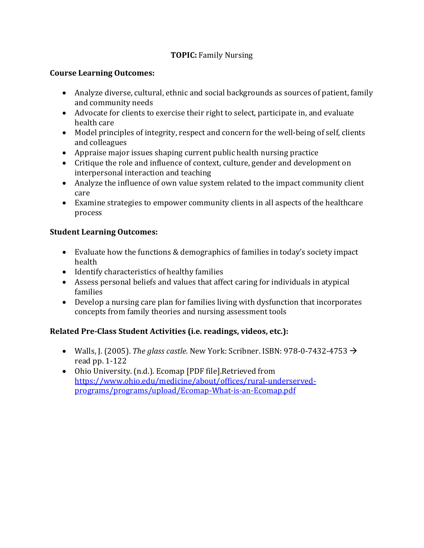# **TOPIC: Family Nursing**

#### **Course Learning Outcomes:**

- Analyze diverse, cultural, ethnic and social backgrounds as sources of patient, family and community needs
- Advocate for clients to exercise their right to select, participate in, and evaluate health care
- Model principles of integrity, respect and concern for the well-being of self, clients and colleagues
- Appraise major issues shaping current public health nursing practice
- Critique the role and influence of context, culture, gender and development on interpersonal interaction and teaching
- Analyze the influence of own value system related to the impact community client care
- Examine strategies to empower community clients in all aspects of the healthcare process

# **Student Learning Outcomes:**

- Evaluate how the functions  $&$  demographics of families in today's society impact health
- Identify characteristics of healthy families
- Assess personal beliefs and values that affect caring for individuals in atypical families
- Develop a nursing care plan for families living with dysfunction that incorporates concepts from family theories and nursing assessment tools

# Related Pre-Class Student Activities (i.e. readings, videos, etc.):

- Walls, J. (2005). *The glass castle*. New York: Scribner. ISBN: 978-0-7432-4753  $\rightarrow$ read pp.  $1-122$
- Ohio University. (n.d.). Ecomap [PDF file]. Retrieved from https://www.ohio.edu/medicine/about/offices/rural-underservedprograms/programs/upload/Ecomap-What-is-an-Ecomap.pdf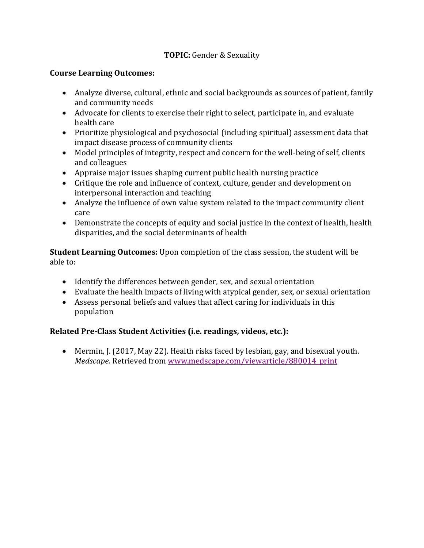# **TOPIC:** Gender & Sexuality

#### **Course Learning Outcomes:**

- Analyze diverse, cultural, ethnic and social backgrounds as sources of patient, family and community needs
- Advocate for clients to exercise their right to select, participate in, and evaluate health care
- Prioritize physiological and psychosocial (including spiritual) assessment data that impact disease process of community clients
- Model principles of integrity, respect and concern for the well-being of self, clients and colleagues
- Appraise major issues shaping current public health nursing practice
- Critique the role and influence of context, culture, gender and development on interpersonal interaction and teaching
- Analyze the influence of own value system related to the impact community client care
- Demonstrate the concepts of equity and social justice in the context of health, health disparities, and the social determinants of health

**Student Learning Outcomes:** Upon completion of the class session, the student will be able to:

- Identify the differences between gender, sex, and sexual orientation
- Evaluate the health impacts of living with atypical gender, sex, or sexual orientation
- Assess personal beliefs and values that affect caring for individuals in this population

# Related Pre-Class Student Activities (i.e. readings, videos, etc.):

• Mermin, J. (2017, May 22). Health risks faced by lesbian, gay, and bisexual youth. *Medscape.* Retrieved from www.medscape.com/viewarticle/880014\_print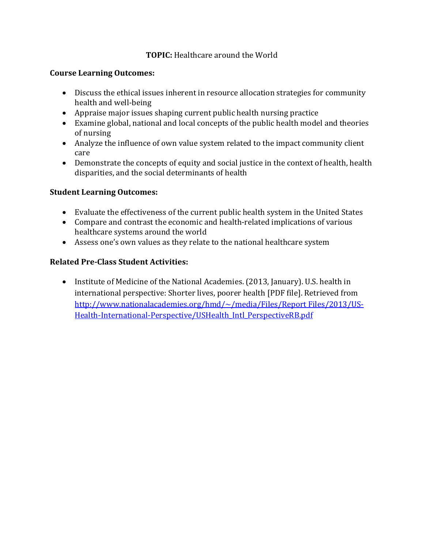#### **TOPIC:** Healthcare around the World

#### **Course Learning Outcomes:**

- Discuss the ethical issues inherent in resource allocation strategies for community health and well-being
- Appraise major issues shaping current public health nursing practice
- Examine global, national and local concepts of the public health model and theories of nursing
- Analyze the influence of own value system related to the impact community client care
- Demonstrate the concepts of equity and social justice in the context of health, health disparities, and the social determinants of health

#### **Student Learning Outcomes:**

- Evaluate the effectiveness of the current public health system in the United States
- Compare and contrast the economic and health-related implications of various healthcare systems around the world
- Assess one's own values as they relate to the national healthcare system

# **Related Pre-Class Student Activities:**

• Institute of Medicine of the National Academies. (2013, January). U.S. health in international perspective: Shorter lives, poorer health [PDF file]. Retrieved from http://www.nationalacademies.org/hmd/~/media/Files/Report Files/2013/US-Health-International-Perspective/USHealth Intl PerspectiveRB.pdf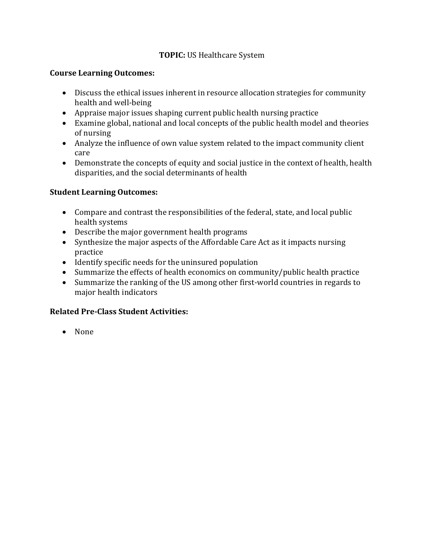# **TOPIC:** US Healthcare System

#### **Course Learning Outcomes:**

- Discuss the ethical issues inherent in resource allocation strategies for community health and well-being
- Appraise major issues shaping current public health nursing practice
- Examine global, national and local concepts of the public health model and theories of nursing
- Analyze the influence of own value system related to the impact community client care
- Demonstrate the concepts of equity and social justice in the context of health, health disparities, and the social determinants of health

# **Student Learning Outcomes:**

- Compare and contrast the responsibilities of the federal, state, and local public health systems
- Describe the major government health programs
- Synthesize the major aspects of the Affordable Care Act as it impacts nursing practice
- Identify specific needs for the uninsured population
- Summarize the effects of health economics on community/public health practice
- Summarize the ranking of the US among other first-world countries in regards to major health indicators

# **Related Pre-Class Student Activities:**

• None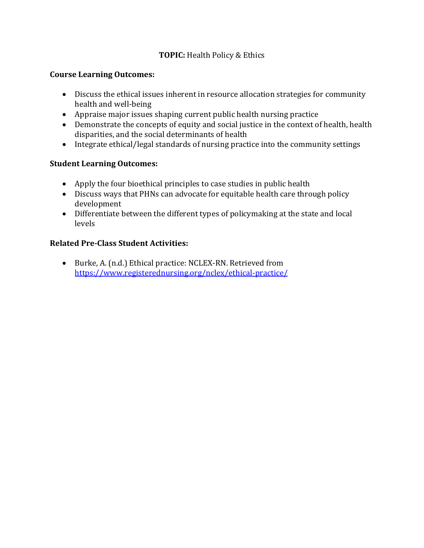# **TOPIC:** Health Policy & Ethics

#### **Course Learning Outcomes:**

- Discuss the ethical issues inherent in resource allocation strategies for community health and well-being
- Appraise major issues shaping current public health nursing practice
- Demonstrate the concepts of equity and social justice in the context of health, health disparities, and the social determinants of health
- Integrate ethical/legal standards of nursing practice into the community settings

# **Student Learning Outcomes:**

- Apply the four bioethical principles to case studies in public health
- Discuss ways that PHNs can advocate for equitable health care through policy development
- Differentiate between the different types of policymaking at the state and local levels

# **Related Pre-Class Student Activities:**

• Burke, A. (n.d.) Ethical practice: NCLEX-RN. Retrieved from https://www.registerednursing.org/nclex/ethical-practice/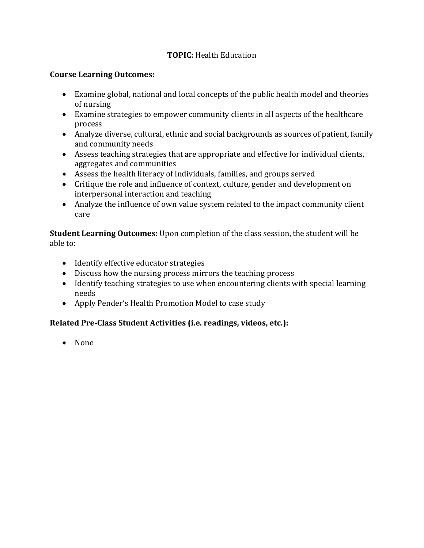# **TOPIC:** Health Education

#### **Course Learning Outcomes:**

- Examine global, national and local concepts of the public health model and theories of nursing
- Examine strategies to empower community clients in all aspects of the healthcare process
- Analyze diverse, cultural, ethnic and social backgrounds as sources of patient, family and community needs
- Assess teaching strategies that are appropriate and effective for individual clients, aggregates and communities
- Assess the health literacy of individuals, families, and groups served
- Critique the role and influence of context, culture, gender and development on interpersonal interaction and teaching
- Analyze the influence of own value system related to the impact community client care

**Student Learning Outcomes:** Upon completion of the class session, the student will be able to:

- Identify effective educator strategies
- Discuss how the nursing process mirrors the teaching process
- Identify teaching strategies to use when encountering clients with special learning needs
- Apply Pender's Health Promotion Model to case study

# Related Pre-Class Student Activities (i.e. readings, videos, etc.):

• None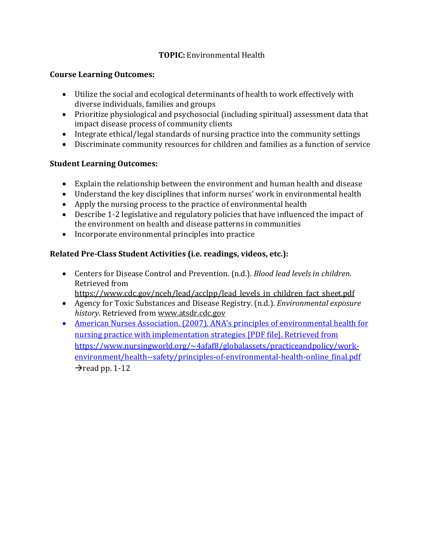# **TOPIC:** Environmental Health

#### **Course Learning Outcomes:**

- Utilize the social and ecological determinants of health to work effectively with diverse individuals, families and groups
- Prioritize physiological and psychosocial (including spiritual) assessment data that impact disease process of community clients
- Integrate ethical/legal standards of nursing practice into the community settings
- Discriminate community resources for children and families as a function of service

#### **Student Learning Outcomes:**

- Explain the relationship between the environment and human health and disease
- Understand the key disciplines that inform nurses' work in environmental health
- Apply the nursing process to the practice of environmental health
- Describe 1-2 legislative and regulatory policies that have influenced the impact of the environment on health and disease patterns in communities
- Incorporate environmental principles into practice

# Related Pre-Class Student Activities (i.e. readings, videos, etc.):

• Centers for Disease Control and Prevention. (n.d.). *Blood lead levels in children.* Retrieved from

https://www.cdc.gov/nceh/lead/acclpp/lead\_levels\_in\_children\_fact\_sheet.pdf

- Agency for Toxic Substances and Disease Registry. (n.d.). *Environmental exposure* history. Retrieved from www.atsdr.cdc.gov
- American Nurses Association. (2007). ANA's principles of environmental health for nursing practice with implementation strategies [PDF file]. Retrieved from https://www.nursingworld.org/~4afaf8/globalassets/practiceandpolicy/workenvironment/health--safety/principles-of-environmental-health-online final.pdf  $\rightarrow$ read pp. 1-12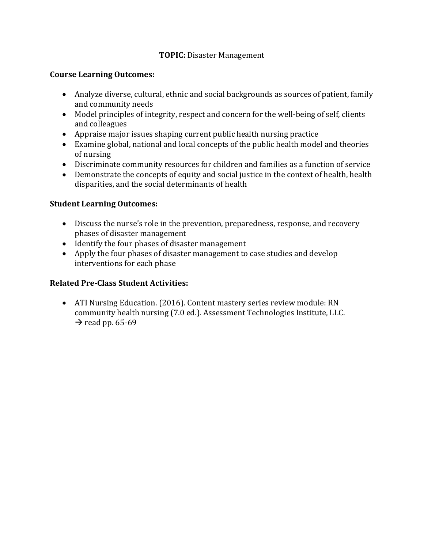#### **TOPIC:** Disaster Management

#### **Course Learning Outcomes:**

- Analyze diverse, cultural, ethnic and social backgrounds as sources of patient, family and community needs
- Model principles of integrity, respect and concern for the well-being of self, clients and colleagues
- Appraise major issues shaping current public health nursing practice
- Examine global, national and local concepts of the public health model and theories of nursing
- Discriminate community resources for children and families as a function of service
- Demonstrate the concepts of equity and social justice in the context of health, health disparities, and the social determinants of health

#### **Student Learning Outcomes:**

- Discuss the nurse's role in the prevention, preparedness, response, and recovery phases of disaster management
- Identify the four phases of disaster management
- Apply the four phases of disaster management to case studies and develop interventions for each phase

# **Related Pre-Class Student Activities:**

• ATI Nursing Education. (2016). Content mastery series review module: RN community health nursing (7.0 ed.). Assessment Technologies Institute, LLC.  $\rightarrow$  read pp. 65-69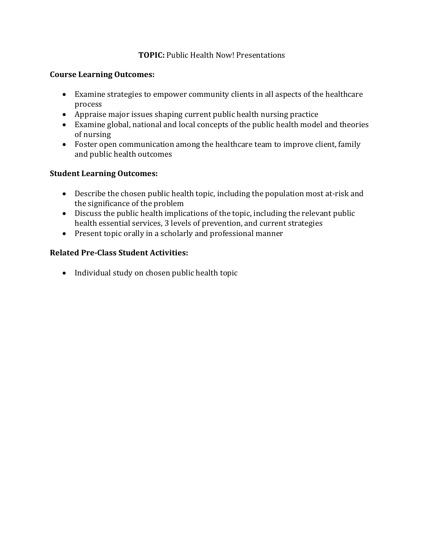#### **TOPIC:** Public Health Now! Presentations

#### **Course Learning Outcomes:**

- Examine strategies to empower community clients in all aspects of the healthcare process
- Appraise major issues shaping current public health nursing practice
- Examine global, national and local concepts of the public health model and theories of nursing
- Foster open communication among the healthcare team to improve client, family and public health outcomes

# **Student Learning Outcomes:**

- Describe the chosen public health topic, including the population most at-risk and the significance of the problem
- Discuss the public health implications of the topic, including the relevant public health essential services, 3 levels of prevention, and current strategies
- Present topic orally in a scholarly and professional manner

#### **Related Pre-Class Student Activities:**

• Individual study on chosen public health topic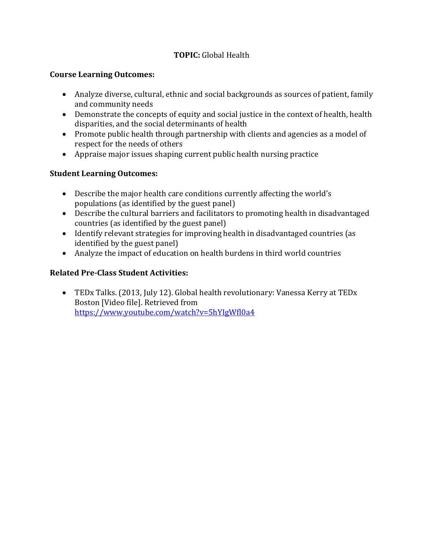# **TOPIC:** Global Health

#### **Course Learning Outcomes:**

- Analyze diverse, cultural, ethnic and social backgrounds as sources of patient, family and community needs
- Demonstrate the concepts of equity and social justice in the context of health, health disparities, and the social determinants of health
- Promote public health through partnership with clients and agencies as a model of respect for the needs of others
- Appraise major issues shaping current public health nursing practice

# **Student Learning Outcomes:**

- Describe the major health care conditions currently affecting the world's populations (as identified by the guest panel)
- Describe the cultural barriers and facilitators to promoting health in disadvantaged countries (as identified by the guest panel)
- Identify relevant strategies for improving health in disadvantaged countries (as identified by the guest panel)
- Analyze the impact of education on health burdens in third world countries

# **Related Pre-Class Student Activities:**

• TEDx Talks. (2013, July 12). Global health revolutionary: Vanessa Kerry at TEDx Boston [Video file]. Retrieved from https://www.youtube.com/watch?v=5hYIgWfl0a4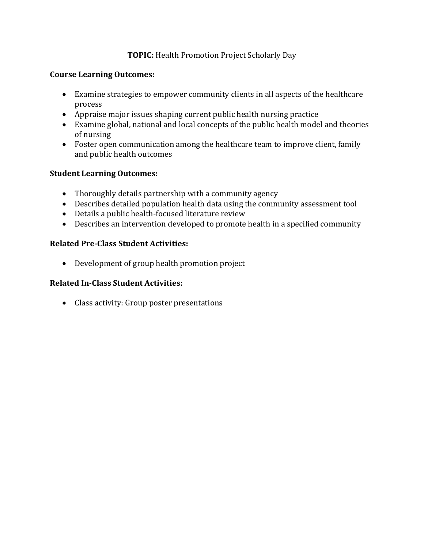# **TOPIC:** Health Promotion Project Scholarly Day

#### **Course Learning Outcomes:**

- Examine strategies to empower community clients in all aspects of the healthcare process
- Appraise major issues shaping current public health nursing practice
- Examine global, national and local concepts of the public health model and theories of nursing
- Foster open communication among the healthcare team to improve client, family and public health outcomes

#### **Student Learning Outcomes:**

- Thoroughly details partnership with a community agency
- Describes detailed population health data using the community assessment tool
- Details a public health-focused literature review
- Describes an intervention developed to promote health in a specified community

#### **Related Pre-Class Student Activities:**

• Development of group health promotion project

#### **Related In-Class Student Activities:**

• Class activity: Group poster presentations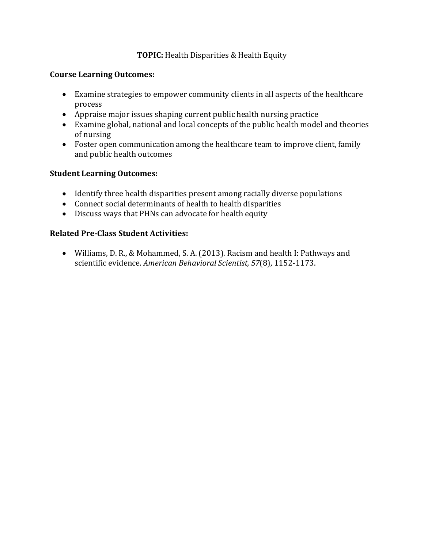# **TOPIC:** Health Disparities & Health Equity

#### **Course Learning Outcomes:**

- Examine strategies to empower community clients in all aspects of the healthcare process
- Appraise major issues shaping current public health nursing practice
- Examine global, national and local concepts of the public health model and theories of nursing
- Foster open communication among the healthcare team to improve client, family and public health outcomes

# **Student Learning Outcomes:**

- Identify three health disparities present among racially diverse populations
- Connect social determinants of health to health disparities
- Discuss ways that PHNs can advocate for health equity

# **Related Pre-Class Student Activities:**

• Williams, D. R., & Mohammed, S. A. (2013). Racism and health I: Pathways and scientific evidence. *American Behavioral Scientist, 57*(8), 1152-1173.